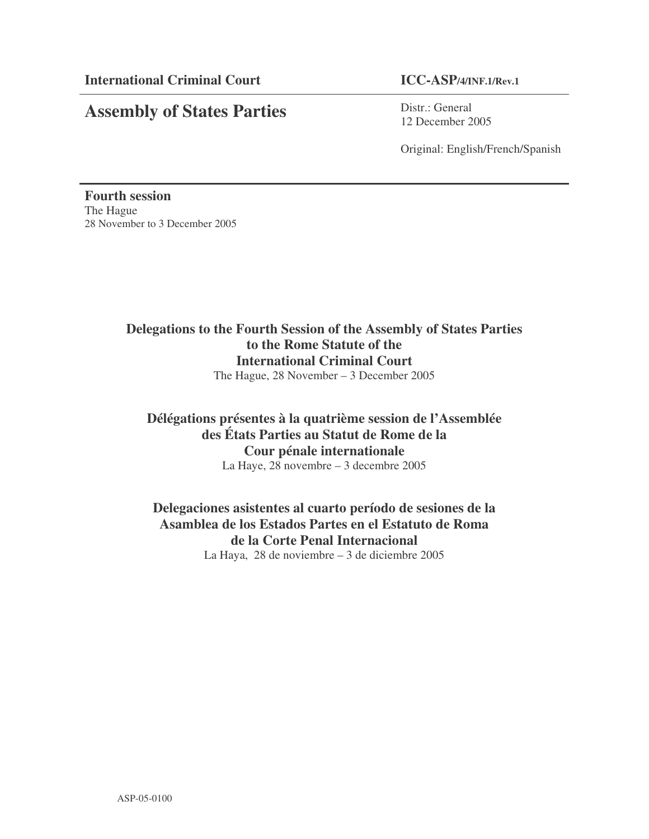# **Assembly of States Parties**

Distr.: General 12 December 2005

Original: English/French/Spanish

**Fourth session** The Hague 28 November to 3 December 2005

# **Delegations to the Fourth Session of the Assembly of States Parties to the Rome Statute of the International Criminal Court** The Hague, 28 November – 3 December 2005

# **Délégations présentes à la quatrième session de l'Assemblée des États Parties au Statut de Rome de la Cour pénale internationale** La Haye, 28 novembre – 3 decembre 2005

# **Delegaciones asistentes al cuarto período de sesiones de la Asamblea de los Estados Partes en el Estatuto de Roma de la Corte Penal Internacional** La Haya, 28 de noviembre – 3 de diciembre 2005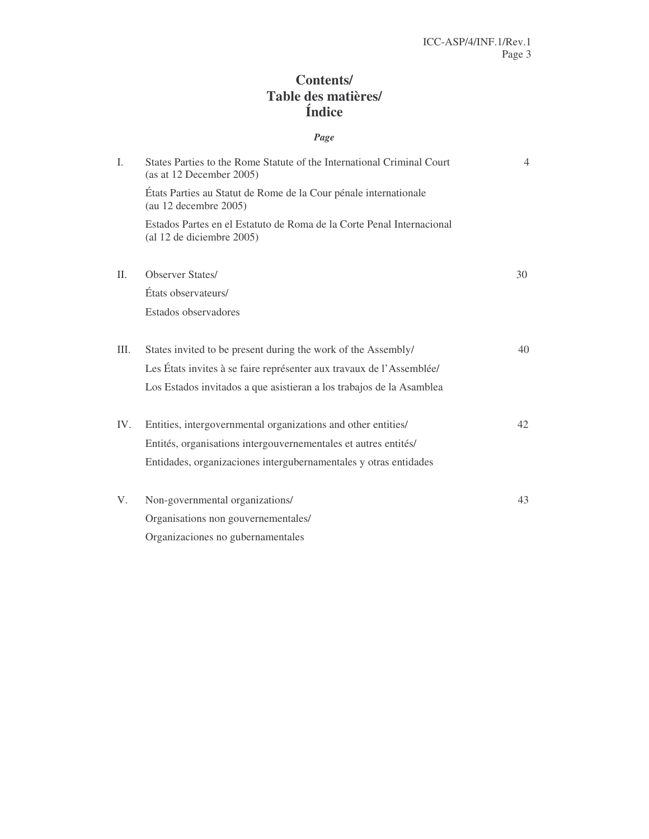# **Contents/ Table des matières/ Índice**

# *Page*

| L.   | States Parties to the Rome Statute of the International Criminal Court<br>(as at 12 December 2005) | $\overline{4}$ |
|------|----------------------------------------------------------------------------------------------------|----------------|
|      | États Parties au Statut de Rome de la Cour pénale internationale<br>(au 12 decembre 2005)          |                |
|      | Estados Partes en el Estatuto de Roma de la Corte Penal Internacional<br>(al 12 de diciembre 2005) |                |
| II.  | <b>Observer States/</b>                                                                            | 30             |
|      | États observateurs/                                                                                |                |
|      | Estados observadores                                                                               |                |
| III. | States invited to be present during the work of the Assembly/                                      | 40             |
|      | Les États invites à se faire représenter aux travaux de l'Assemblée/                               |                |
|      | Los Estados invitados a que asistieran a los trabajos de la Asamblea                               |                |
| IV.  | Entities, intergovernmental organizations and other entities/                                      | 42             |
|      | Entités, organisations intergouvernementales et autres entités/                                    |                |
|      | Entidades, organizaciones intergubernamentales y otras entidades                                   |                |
| V.   | Non-governmental organizations/                                                                    | 43             |
|      | Organisations non gouvernementales/                                                                |                |
|      | Organizaciones no gubernamentales                                                                  |                |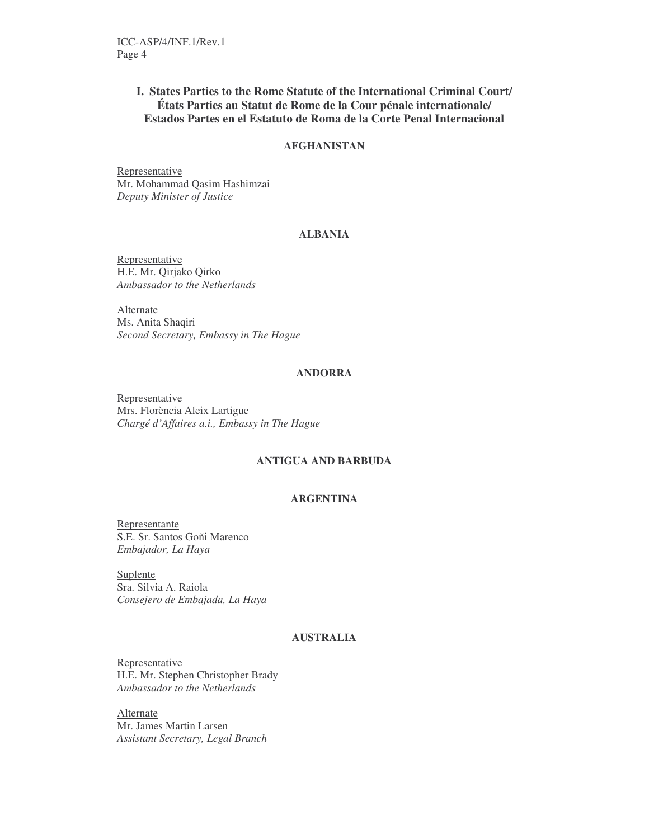### **I. States Parties to the Rome Statute of the International Criminal Court/ États Parties au Statut de Rome de la Cour pénale internationale/ Estados Partes en el Estatuto de Roma de la Corte Penal Internacional**

### **AFGHANISTAN**

Representative Mr. Mohammad Qasim Hashimzai *Deputy Minister of Justice*

### **ALBANIA**

Representative H.E. Mr. Qirjako Qirko *Ambassador to the Netherlands*

Alternate Ms. Anita Shaqiri *Second Secretary, Embassy in The Hague*

### **ANDORRA**

Representative Mrs. Florència Aleix Lartigue *Chargé d'Affaires a.i., Embassy in The Hague*

### **ANTIGUA AND BARBUDA**

### **ARGENTINA**

Representante S.E. Sr. Santos Goñi Marenco *Embajador, La Haya*

**Suplente** Sra. Silvia A. Raiola *Consejero de Embajada, La Haya*

### **AUSTRALIA**

Representative H.E. Mr. Stephen Christopher Brady *Ambassador to the Netherlands*

Alternate Mr. James Martin Larsen *Assistant Secretary, Legal Branch*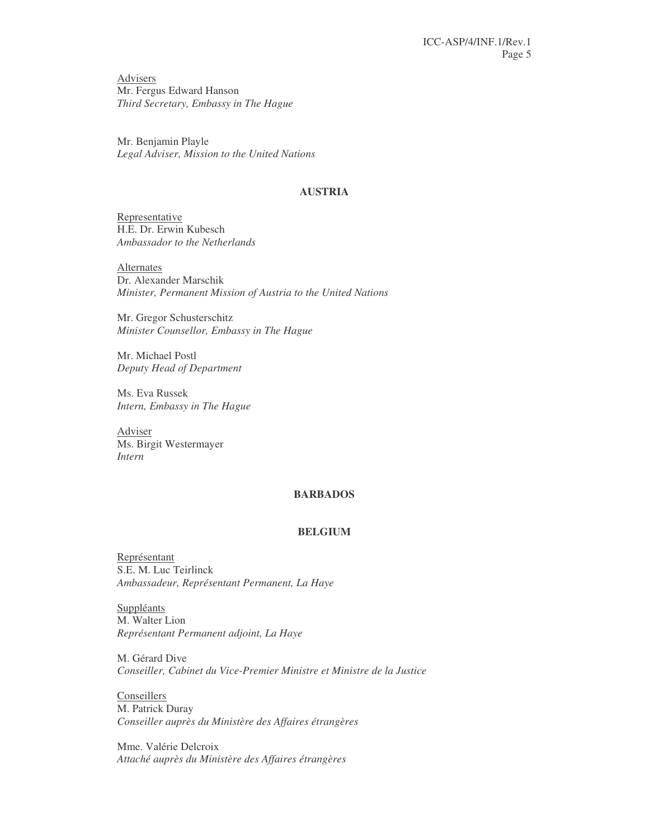Advisers Mr. Fergus Edward Hanson *Third Secretary, Embassy in The Hague*

Mr. Benjamin Playle *Legal Adviser, Mission to the United Nations*

### **AUSTRIA**

Representative H.E. Dr. Erwin Kubesch *Ambassador to the Netherlands*

Alternates Dr. Alexander Marschik *Minister, Permanent Mission of Austria to the United Nations*

Mr. Gregor Schusterschitz *Minister Counsellor, Embassy in The Hague*

Mr. Michael Postl *Deputy Head of Department*

Ms. Eva Russek *Intern, Embassy in The Hague*

Adviser Ms. Birgit Westermayer *Intern*

### **BARBADOS**

#### **BELGIUM**

Représentant S.E. M. Luc Teirlinck *Ambassadeur, Représentant Permanent, La Haye*

**Suppléants** M. Walter Lion *Représentant Permanent adjoint, La Haye*

M. Gérard Dive *Conseiller, Cabinet du Vice-Premier Ministre et Ministre de la Justice*

Conseillers M. Patrick Duray *Conseiller auprès du Ministère des Affaires étrangères*

Mme. Valérie Delcroix *Attaché auprès du Ministère des Affaires étrangères*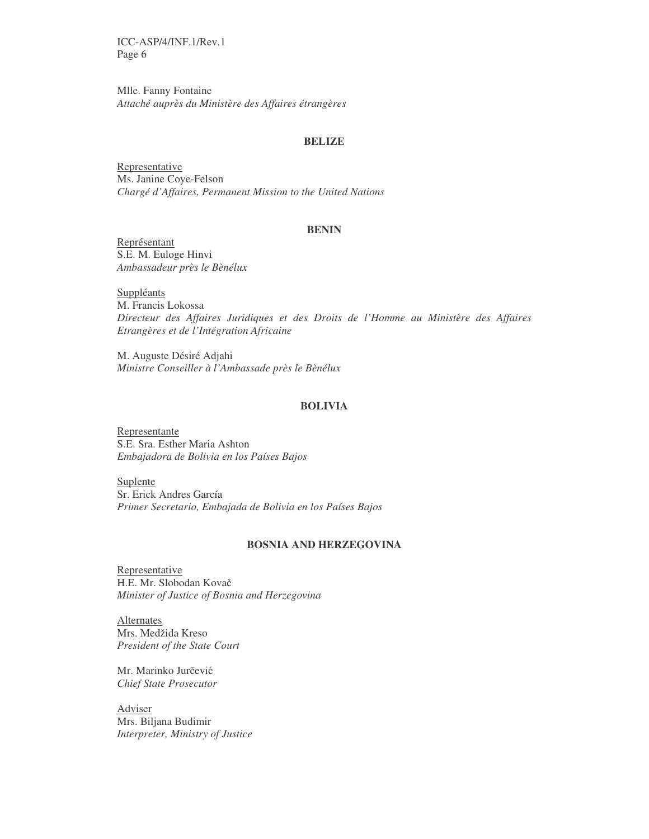Mlle. Fanny Fontaine *Attaché auprès du Ministère des Affaires étrangères*

#### **BELIZE**

Representative Ms. Janine Coye-Felson *Chargé d'Affaires, Permanent Mission to the United Nations*

### **BENIN**

Représentant S.E. M. Euloge Hinvi *Ambassadeur près le Bènélux*

Suppléants M. Francis Lokossa *Directeur des Affaires Juridiques et des Droits de l'Homme au Ministère des Affaires Etrangères et de l'Intégration Africaine*

M. Auguste Désiré Adjahi *Ministre Conseiller à l'Ambassade près le Bènélux*

#### **BOLIVIA**

Representante S.E. Sra. Esther Maria Ashton *Embajadora de Bolivia en los Países Bajos*

Suplente Sr. Erick Andres García *Primer Secretario, Embajada de Bolivia en los Países Bajos*

### **BOSNIA AND HERZEGOVINA**

Representative H.E. Mr. Slobodan Kova *Minister of Justice of Bosnia and Herzegovina*

Alternates Mrs. Medžida Kreso *President of the State Court*

Mr. Marinko Jurčević *Chief State Prosecutor*

Adviser Mrs. Biljana Budimir *Interpreter, Ministry of Justice*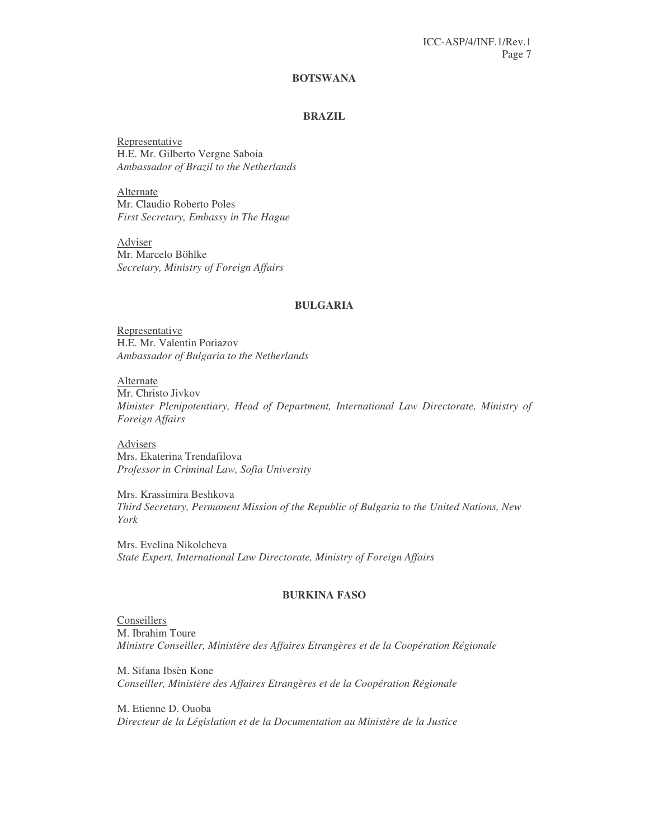### **BOTSWANA**

### **BRAZIL**

Representative H.E. Mr. Gilberto Vergne Saboia *Ambassador of Brazil to the Netherlands*

Alternate Mr. Claudio Roberto Poles *First Secretary, Embassy in The Hague*

Adviser Mr. Marcelo Böhlke *Secretary, Ministry of Foreign Affairs*

#### **BULGARIA**

Representative H.E. Mr. Valentin Poriazov *Ambassador of Bulgaria to the Netherlands*

Alternate Mr. Christo Jivkov *Minister Plenipotentiary, Head of Department, International Law Directorate, Ministry of Foreign Affairs*

Advisers Mrs. Ekaterina Trendafilova *Professor in Criminal Law, Sofia University*

Mrs. Krassimira Beshkova *Third Secretary, Permanent Mission of the Republic of Bulgaria to the United Nations, New York*

Mrs. Evelina Nikolcheva *State Expert, International Law Directorate, Ministry of Foreign Affairs*

### **BURKINA FASO**

**Conseillers** M. Ibrahim Toure *Ministre Conseiller, Ministère des Affaires Etrangères et de la Coopération Régionale*

M. Sifana Ibsèn Kone *Conseiller, Ministère des Affaires Etrangères et de la Coopération Régionale*

M. Etienne D. Ouoba *Directeur de la Législation et de la Documentation au Ministère de la Justice*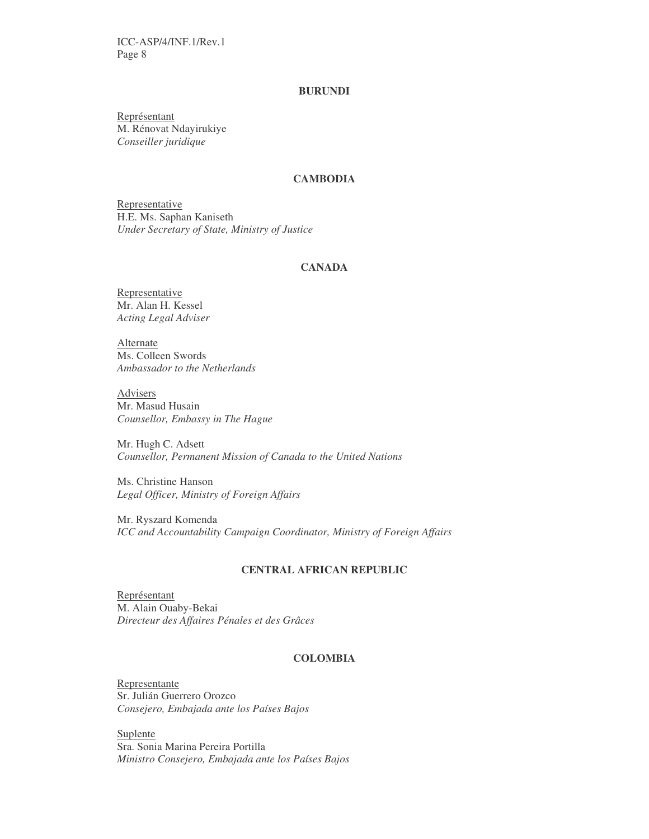### **BURUNDI**

Représentant M. Rénovat Ndayirukiye *Conseiller juridique*

#### **CAMBODIA**

**Representative** H.E. Ms. Saphan Kaniseth *Under Secretary of State, Ministry of Justice*

#### **CANADA**

Representative Mr. Alan H. Kessel *Acting Legal Adviser*

**Alternate** Ms. Colleen Swords *Ambassador to the Netherlands*

Advisers Mr. Masud Husain *Counsellor, Embassy in The Hague*

Mr. Hugh C. Adsett *Counsellor, Permanent Mission of Canada to the United Nations*

Ms. Christine Hanson *Legal Officer, Ministry of Foreign Affairs*

Mr. Ryszard Komenda *ICC and Accountability Campaign Coordinator, Ministry of Foreign Affairs*

#### **CENTRAL AFRICAN REPUBLIC**

Représentant M. Alain Ouaby-Bekai *Directeur des Affaires Pénales et des Grâces*

### **COLOMBIA**

Representante Sr. Julián Guerrero Orozco *Consejero, Embajada ante los Países Bajos*

Suplente Sra. Sonia Marina Pereira Portilla *Ministro Consejero, Embajada ante los Países Bajos*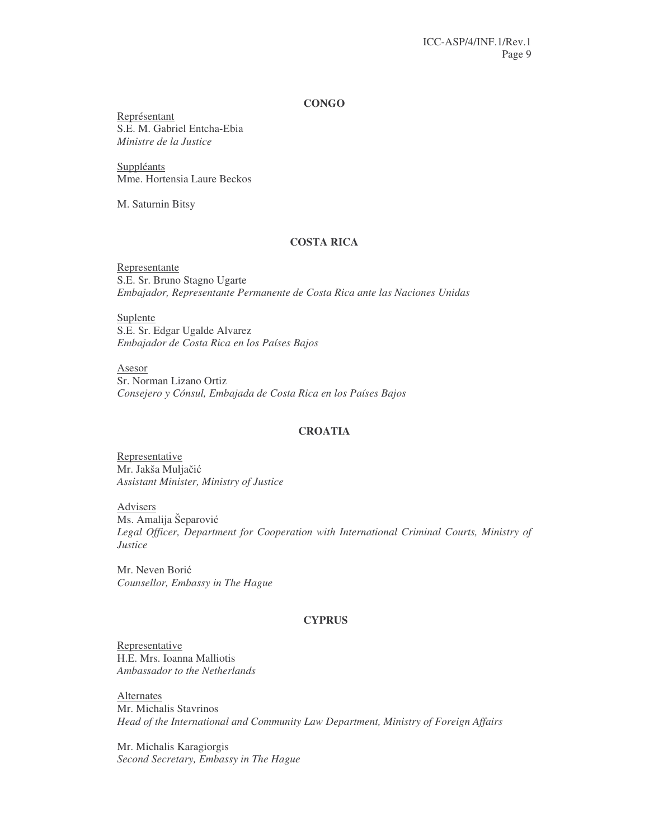#### **CONGO**

Représentant S.E. M. Gabriel Entcha-Ebia *Ministre de la Justice*

**Suppléants** Mme. Hortensia Laure Beckos

M. Saturnin Bitsy

### **COSTA RICA**

Representante S.E. Sr. Bruno Stagno Ugarte *Embajador, Representante Permanente de Costa Rica ante las Naciones Unidas*

Suplente S.E. Sr. Edgar Ugalde Alvarez *Embajador de Costa Rica en los Países Bajos*

Asesor Sr. Norman Lizano Ortiz *Consejero y Cónsul, Embajada de Costa Rica en los Países Bajos*

### **CROATIA**

Representative Mr. Jakša Muljačić *Assistant Minister, Ministry of Justice*

**Advisers** Ms. Amalija Šeparović *Legal Officer, Department for Cooperation with International Criminal Courts, Ministry of Justice*

Mr. Neven Borić *Counsellor, Embassy in The Hague*

### **CYPRUS**

Representative H.E. Mrs. Ioanna Malliotis *Ambassador to the Netherlands*

Alternates Mr. Michalis Stavrinos *Head of the International and Community Law Department, Ministry of Foreign Affairs*

Mr. Michalis Karagiorgis *Second Secretary, Embassy in The Hague*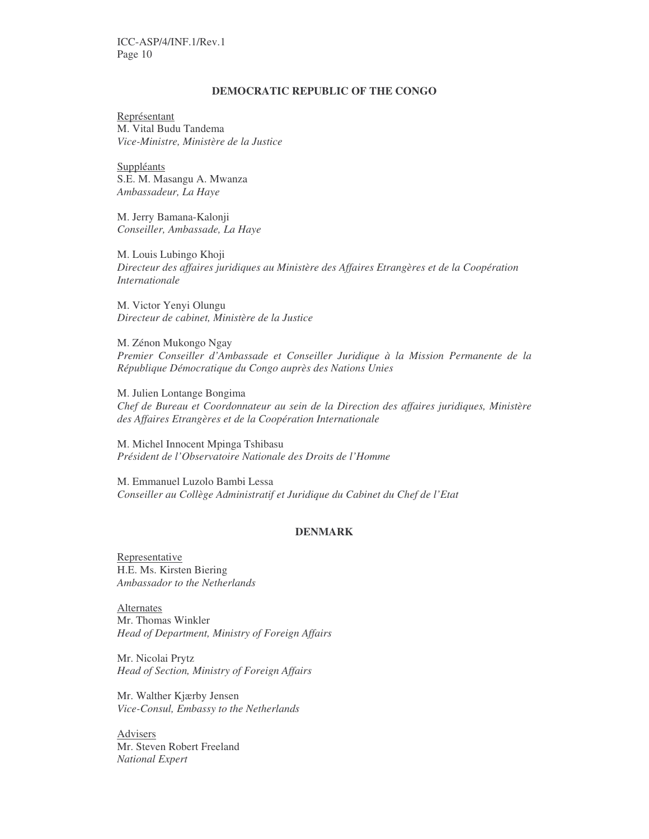#### **DEMOCRATIC REPUBLIC OF THE CONGO**

Représentant M. Vital Budu Tandema *Vice-Ministre, Ministère de la Justice*

**Suppléants** S.E. M. Masangu A. Mwanza *Ambassadeur, La Haye*

M. Jerry Bamana-Kalonji *Conseiller, Ambassade, La Haye*

M. Louis Lubingo Khoji *Directeur des affaires juridiques au Ministère des Affaires Etrangères et de la Coopération Internationale*

M. Victor Yenyi Olungu *Directeur de cabinet, Ministère de la Justice*

M. Zénon Mukongo Ngay *Premier Conseiller d'Ambassade et Conseiller Juridique à la Mission Permanente de la République Démocratique du Congo auprès des Nations Unies*

M. Julien Lontange Bongima *Chef de Bureau et Coordonnateur au sein de la Direction des affaires juridiques, Ministère des Affaires Etrangères et de la Coopération Internationale*

M. Michel Innocent Mpinga Tshibasu *Président de l'Observatoire Nationale des Droits de l'Homme*

M. Emmanuel Luzolo Bambi Lessa *Conseiller au Collège Administratif et Juridique du Cabinet du Chef de l'Etat*

#### **DENMARK**

Representative H.E. Ms. Kirsten Biering *Ambassador to the Netherlands*

Alternates Mr. Thomas Winkler *Head of Department, Ministry of Foreign Affairs*

Mr. Nicolai Prytz *Head of Section, Ministry of Foreign Affairs*

Mr. Walther Kjærby Jensen *Vice-Consul, Embassy to the Netherlands*

Advisers Mr. Steven Robert Freeland *National Expert*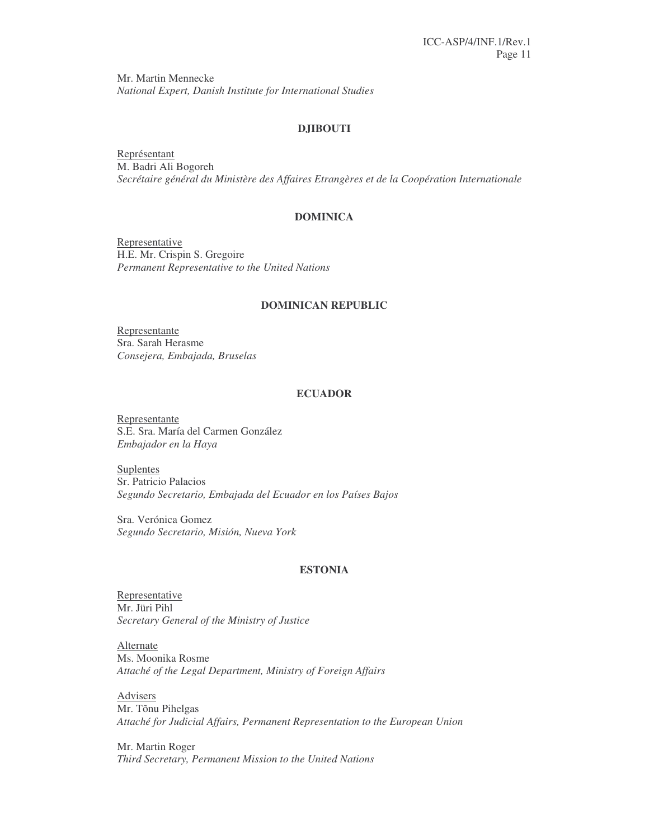Mr. Martin Mennecke *National Expert, Danish Institute for International Studies*

### **DJIBOUTI**

Représentant M. Badri Ali Bogoreh *Secrétaire général du Ministère des Affaires Etrangères et de la Coopération Internationale*

### **DOMINICA**

Representative H.E. Mr. Crispin S. Gregoire *Permanent Representative to the United Nations*

#### **DOMINICAN REPUBLIC**

Representante Sra. Sarah Herasme *Consejera, Embajada, Bruselas*

### **ECUADOR**

Representante S.E. Sra. María del Carmen González *Embajador en la Haya*

Suplentes Sr. Patricio Palacios *Segundo Secretario, Embajada del Ecuador en los Países Bajos*

Sra. Verónica Gomez *Segundo Secretario, Misión, Nueva York*

#### **ESTONIA**

Representative Mr. Jüri Pihl *Secretary General of the Ministry of Justice*

Alternate Ms. Moonika Rosme *Attaché of the Legal Department, Ministry of Foreign Affairs*

Advisers Mr. Tõnu Pihelgas *Attaché for Judicial Affairs, Permanent Representation to the European Union*

Mr. Martin Roger *Third Secretary, Permanent Mission to the United Nations*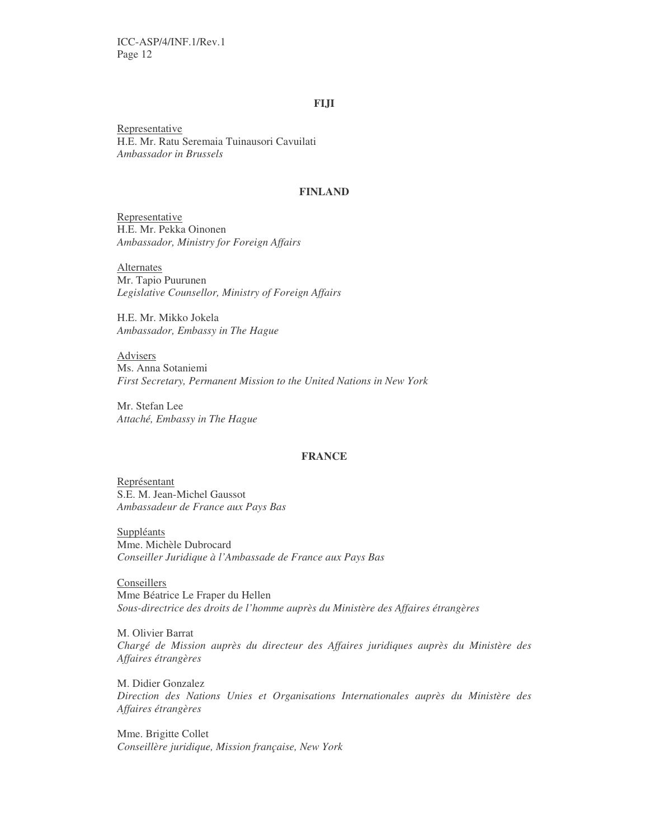#### **FIJI**

**Representative** H.E. Mr. Ratu Seremaia Tuinausori Cavuilati *Ambassador in Brussels*

### **FINLAND**

Representative H.E. Mr. Pekka Oinonen *Ambassador, Ministry for Foreign Affairs*

**Alternates** Mr. Tapio Puurunen *Legislative Counsellor, Ministry of Foreign Affairs*

H.E. Mr. Mikko Jokela *Ambassador, Embassy in The Hague*

Advisers Ms. Anna Sotaniemi *First Secretary, Permanent Mission to the United Nations in New York*

Mr. Stefan Lee *Attaché, Embassy in The Hague*

#### **FRANCE**

Représentant S.E. M. Jean-Michel Gaussot *Ambassadeur de France aux Pays Bas*

**Suppléants** Mme. Michèle Dubrocard *Conseiller Juridique à l'Ambassade de France aux Pays Bas*

**Conseillers** Mme Béatrice Le Fraper du Hellen *Sous-directrice des droits de l'homme auprès du Ministère des Affaires étrangères*

M. Olivier Barrat *Chargé de Mission auprès du directeur des Affaires juridiques auprès du Ministère des Affaires étrangères*

M. Didier Gonzalez *Direction des Nations Unies et Organisations Internationales auprès du Ministère des Affaires étrangères*

Mme. Brigitte Collet *Conseillère juridique, Mission française, New York*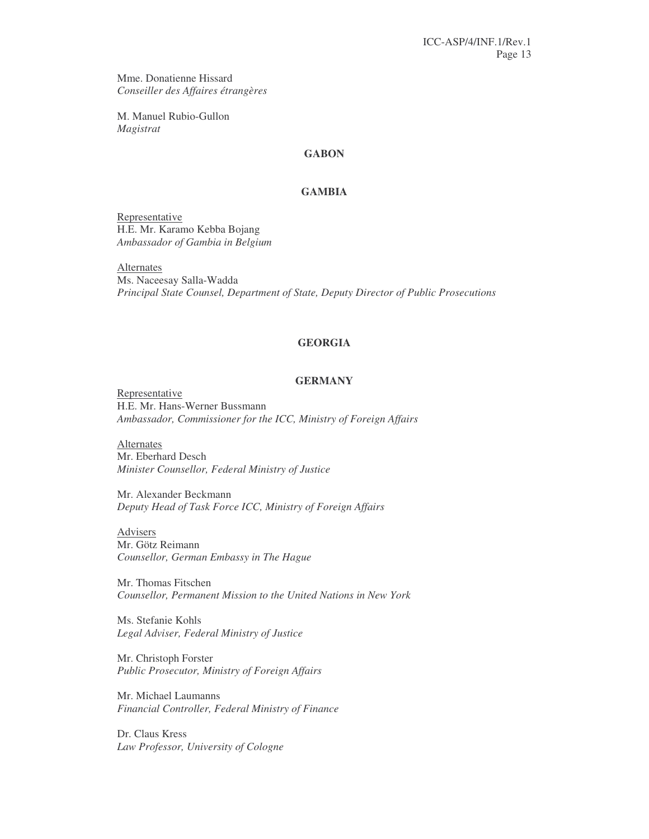Mme. Donatienne Hissard *Conseiller des Affaires étrangères*

M. Manuel Rubio-Gullon *Magistrat*

### **GABON**

### **GAMBIA**

Representative H.E. Mr. Karamo Kebba Bojang *Ambassador of Gambia in Belgium*

**Alternates** Ms. Naceesay Salla-Wadda *Principal State Counsel, Department of State, Deputy Director of Public Prosecutions*

#### **GEORGIA**

#### **GERMANY**

Representative H.E. Mr. Hans-Werner Bussmann *Ambassador, Commissioner for the ICC, Ministry of Foreign Affairs*

Alternates Mr. Eberhard Desch *Minister Counsellor, Federal Ministry of Justice*

Mr. Alexander Beckmann *Deputy Head of Task Force ICC, Ministry of Foreign Affairs*

Advisers Mr. Götz Reimann *Counsellor, German Embassy in The Hague*

Mr. Thomas Fitschen *Counsellor, Permanent Mission to the United Nations in New York*

Ms. Stefanie Kohls *Legal Adviser, Federal Ministry of Justice*

Mr. Christoph Forster *Public Prosecutor, Ministry of Foreign Affairs*

Mr. Michael Laumanns *Financial Controller, Federal Ministry of Finance*

Dr. Claus Kress *Law Professor, University of Cologne*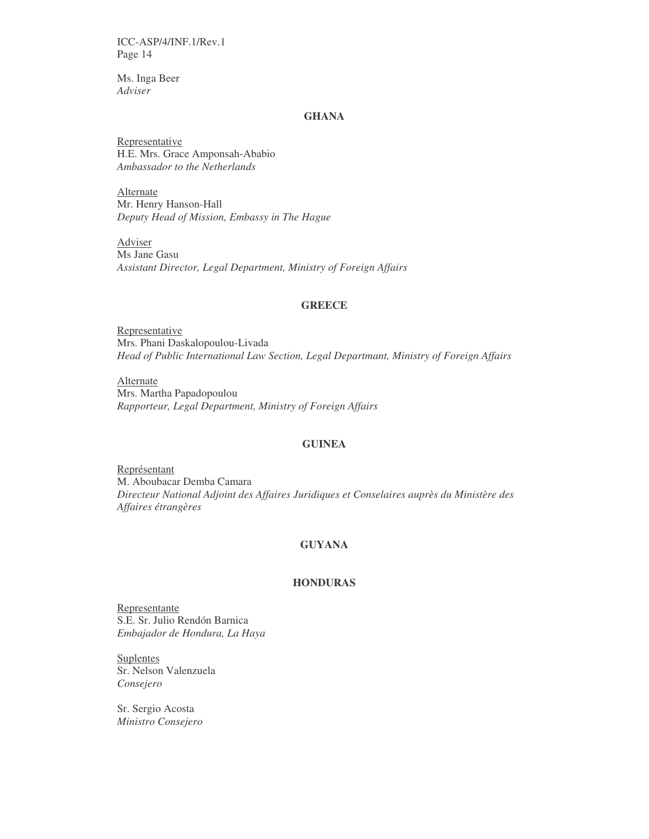Ms. Inga Beer *Adviser*

### **GHANA**

Representative H.E. Mrs. Grace Amponsah-Ababio *Ambassador to the Netherlands*

Alternate Mr. Henry Hanson-Hall *Deputy Head of Mission, Embassy in The Hague*

Adviser Ms Jane Gasu *Assistant Director, Legal Department, Ministry of Foreign Affairs*

#### **GREECE**

Representative Mrs. Phani Daskalopoulou-Livada *Head of Public International Law Section, Legal Departmant, Ministry of Foreign Affairs*

Alternate Mrs. Martha Papadopoulou *Rapporteur, Legal Department, Ministry of Foreign Affairs*

### **GUINEA**

Représentant M. Aboubacar Demba Camara *Directeur National Adjoint des Affaires Juridiques et Conselaires auprès du Ministère des Affaires étrangères*

### **GUYANA**

### **HONDURAS**

Representante S.E. Sr. Julio Rendón Barnica *Embajador de Hondura, La Haya*

**Suplentes** Sr. Nelson Valenzuela *Consejero*

Sr. Sergio Acosta *Ministro Consejero*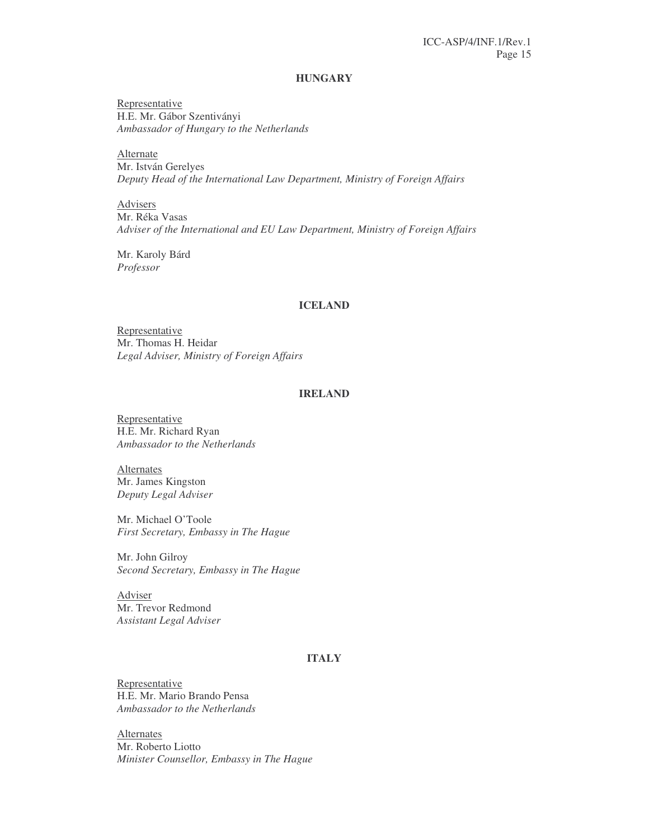#### **HUNGARY**

**Representative** H.E. Mr. Gábor Szentiványi *Ambassador of Hungary to the Netherlands*

Alternate Mr. István Gerelyes *Deputy Head of the International Law Department, Ministry of Foreign Affairs*

Advisers Mr. Réka Vasas *Adviser of the International and EU Law Department, Ministry of Foreign Affairs*

Mr. Karoly Bárd *Professor*

#### **ICELAND**

Representative Mr. Thomas H. Heidar *Legal Adviser, Ministry of Foreign Affairs*

### **IRELAND**

Representative H.E. Mr. Richard Ryan *Ambassador to the Netherlands*

Alternates Mr. James Kingston *Deputy Legal Adviser*

Mr. Michael O'Toole *First Secretary, Embassy in The Hague*

Mr. John Gilroy *Second Secretary, Embassy in The Hague*

Adviser Mr. Trevor Redmond *Assistant Legal Adviser*

### **ITALY**

Representative H.E. Mr. Mario Brando Pensa *Ambassador to the Netherlands*

**Alternates** Mr. Roberto Liotto *Minister Counsellor, Embassy in The Hague*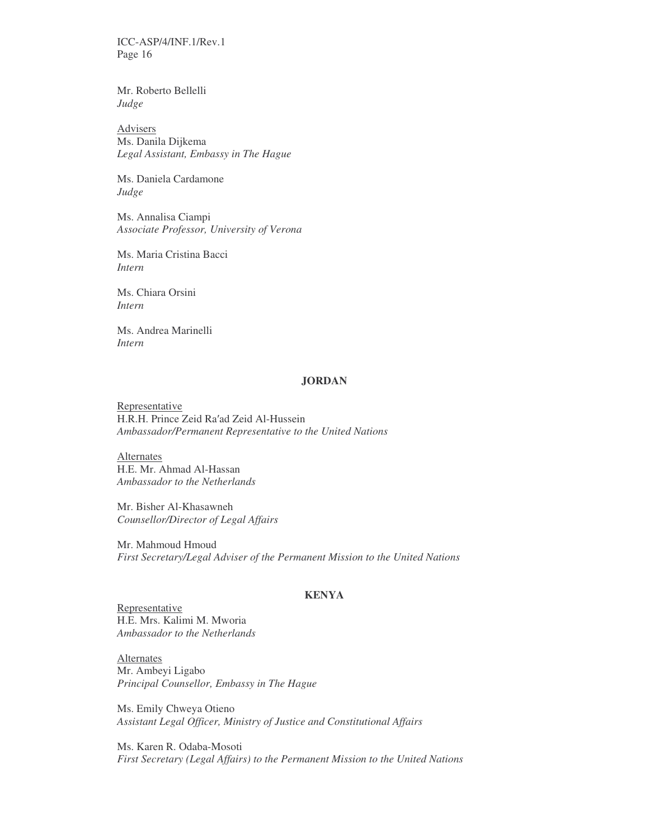Mr. Roberto Bellelli *Judge*

Advisers Ms. Danila Dijkema *Legal Assistant, Embassy in The Hague*

Ms. Daniela Cardamone *Judge*

Ms. Annalisa Ciampi *Associate Professor, University of Verona*

Ms. Maria Cristina Bacci *Intern*

Ms. Chiara Orsini *Intern*

Ms. Andrea Marinelli *Intern*

#### **JORDAN**

Representative H.R.H. Prince Zeid Ra'ad Zeid Al-Hussein *Ambassador/Permanent Representative to the United Nations*

Alternates H.E. Mr. Ahmad Al-Hassan *Ambassador to the Netherlands*

Mr. Bisher Al-Khasawneh *Counsellor/Director of Legal Affairs*

Mr. Mahmoud Hmoud *First Secretary/Legal Adviser of the Permanent Mission to the United Nations*

#### **KENYA**

Representative H.E. Mrs. Kalimi M. Mworia *Ambassador to the Netherlands*

**Alternates** Mr. Ambeyi Ligabo *Principal Counsellor, Embassy in The Hague*

Ms. Emily Chweya Otieno *Assistant Legal Officer, Ministry of Justice and Constitutional Affairs*

Ms. Karen R. Odaba-Mosoti *First Secretary (Legal Affairs) to the Permanent Mission to the United Nations*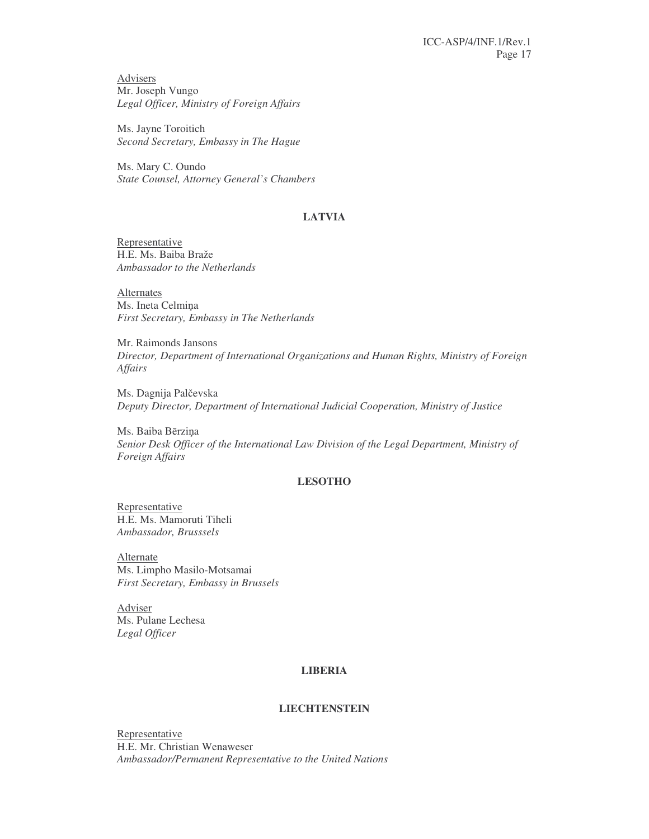Advisers Mr. Joseph Vungo *Legal Officer, Ministry of Foreign Affairs*

Ms. Jayne Toroitich *Second Secretary, Embassy in The Hague*

Ms. Mary C. Oundo *State Counsel, Attorney General's Chambers*

### **LATVIA**

Representative H.E. Ms. Baiba Braže *Ambassador to the Netherlands*

Alternates Ms. Ineta Celmiņa *First Secretary, Embassy in The Netherlands*

Mr. Raimonds Jansons *Director, Department of International Organizations and Human Rights, Ministry of Foreign Affairs*

Ms. Dagnija Palčevska *Deputy Director, Department of International Judicial Cooperation, Ministry of Justice*

Ms. Baiba Bērziņa *Senior Desk Officer of the International Law Division of the Legal Department, Ministry of Foreign Affairs*

### **LESOTHO**

Representative H.E. Ms. Mamoruti Tiheli *Ambassador, Brusssels*

**Alternate** Ms. Limpho Masilo-Motsamai *First Secretary, Embassy in Brussels*

Adviser Ms. Pulane Lechesa *Legal Officer*

### **LIBERIA**

### **LIECHTENSTEIN**

Representative H.E. Mr. Christian Wenaweser *Ambassador/Permanent Representative to the United Nations*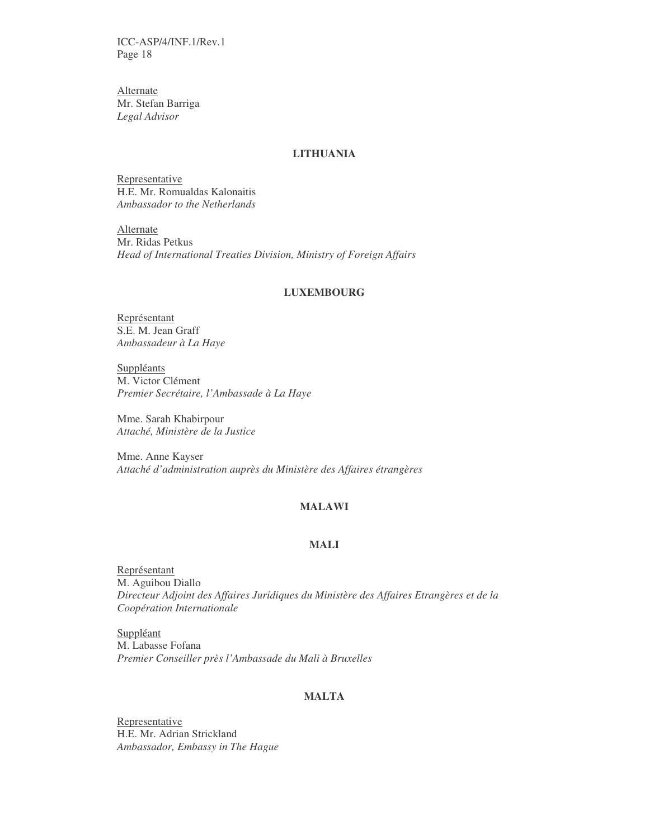Alternate Mr. Stefan Barriga *Legal Advisor*

### **LITHUANIA**

Representative H.E. Mr. Romualdas Kalonaitis *Ambassador to the Netherlands*

**Alternate** Mr. Ridas Petkus *Head of International Treaties Division, Ministry of Foreign Affairs*

### **LUXEMBOURG**

Représentant S.E. M. Jean Graff *Ambassadeur à La Haye*

Suppléants M. Victor Clément *Premier Secrétaire, l'Ambassade à La Haye*

Mme. Sarah Khabirpour *Attaché, Ministère de la Justice*

Mme. Anne Kayser *Attaché d'administration auprès du Ministère des Affaires étrangères*

### **MALAWI**

### **MALI**

Représentant M. Aguibou Diallo *Directeur Adjoint des Affaires Juridiques du Ministère des Affaires Etrangères et de la Coopération Internationale*

Suppléant M. Labasse Fofana *Premier Conseiller près l'Ambassade du Mali à Bruxelles*

#### **MALTA**

**Representative** H.E. Mr. Adrian Strickland *Ambassador, Embassy in The Hague*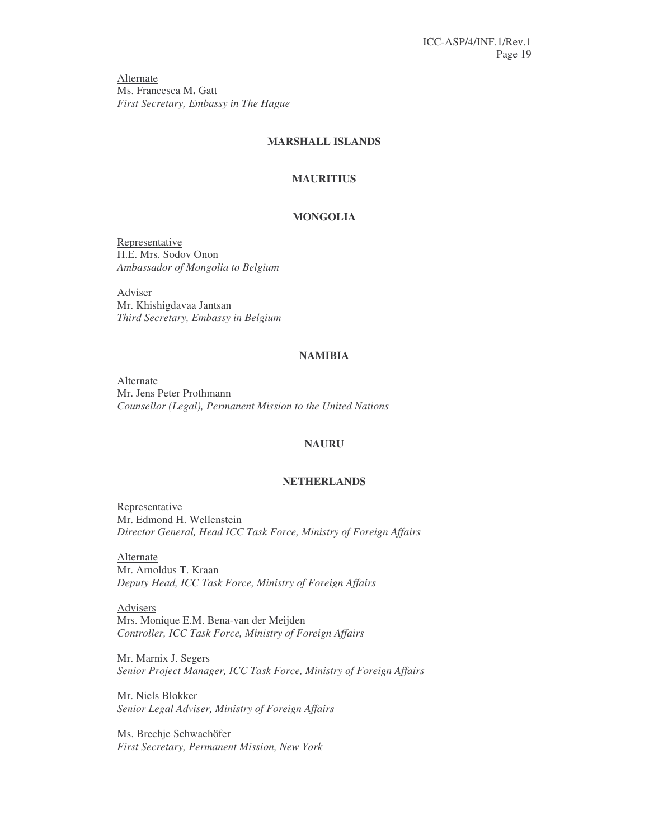Alternate Ms. Francesca M**.** Gatt *First Secretary, Embassy in The Hague*

### **MARSHALL ISLANDS**

#### **MAURITIUS**

### **MONGOLIA**

Representative H.E. Mrs. Sodov Onon *Ambassador of Mongolia to Belgium*

Adviser Mr. Khishigdavaa Jantsan *Third Secretary, Embassy in Belgium*

### **NAMIBIA**

Alternate Mr. Jens Peter Prothmann *Counsellor (Legal), Permanent Mission to the United Nations*

### **NAURU**

#### **NETHERLANDS**

Representative Mr. Edmond H. Wellenstein *Director General, Head ICC Task Force, Ministry of Foreign Affairs*

Alternate Mr. Arnoldus T. Kraan *Deputy Head, ICC Task Force, Ministry of Foreign Affairs*

Advisers Mrs. Monique E.M. Bena-van der Meijden *Controller, ICC Task Force, Ministry of Foreign Affairs*

Mr. Marnix J. Segers *Senior Project Manager, ICC Task Force, Ministry of Foreign Affairs*

Mr. Niels Blokker *Senior Legal Adviser, Ministry of Foreign Affairs*

Ms. Brechje Schwachöfer *First Secretary, Permanent Mission, New York*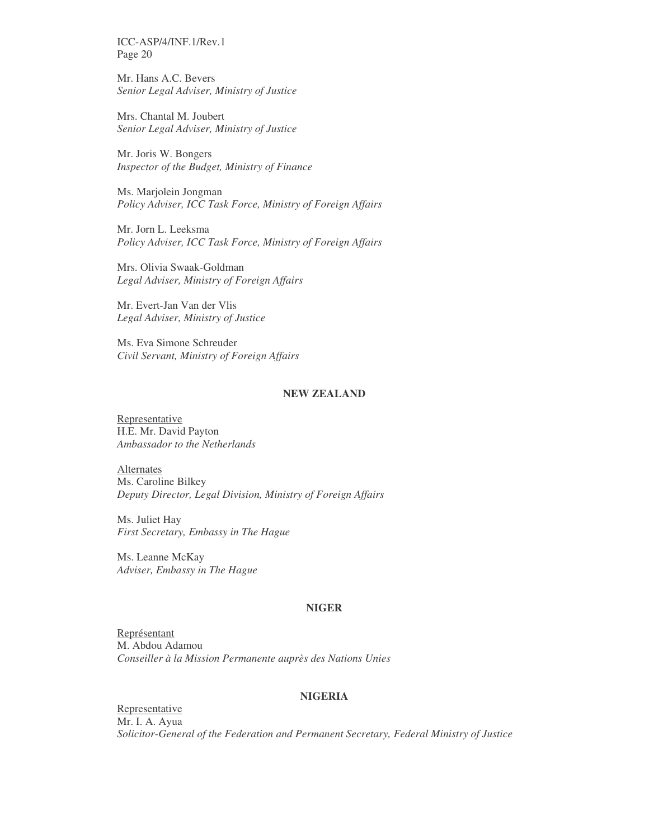Mr. Hans A.C. Bevers *Senior Legal Adviser, Ministry of Justice*

Mrs. Chantal M. Joubert *Senior Legal Adviser, Ministry of Justice*

Mr. Joris W. Bongers *Inspector of the Budget, Ministry of Finance*

Ms. Marjolein Jongman *Policy Adviser, ICC Task Force, Ministry of Foreign Affairs*

Mr. Jorn L. Leeksma *Policy Adviser, ICC Task Force, Ministry of Foreign Affairs*

Mrs. Olivia Swaak-Goldman *Legal Adviser, Ministry of Foreign Affairs*

Mr. Evert-Jan Van der Vlis *Legal Adviser, Ministry of Justice*

Ms. Eva Simone Schreuder *Civil Servant, Ministry of Foreign Affairs*

### **NEW ZEALAND**

Representative H.E. Mr. David Payton *Ambassador to the Netherlands*

Alternates Ms. Caroline Bilkey *Deputy Director, Legal Division, Ministry of Foreign Affairs*

Ms. Juliet Hay *First Secretary, Embassy in The Hague*

Ms. Leanne McKay *Adviser, Embassy in The Hague*

### **NIGER**

Représentant M. Abdou Adamou *Conseiller à la Mission Permanente auprès des Nations Unies*

#### **NIGERIA**

Representative Mr. I. A. Ayua *Solicitor-General of the Federation and Permanent Secretary, Federal Ministry of Justice*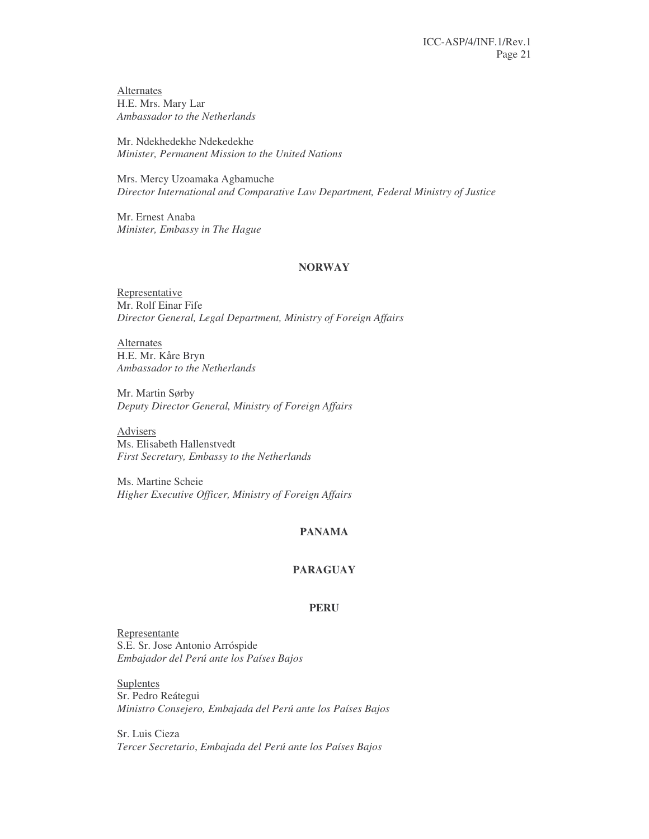**Alternates** H.E. Mrs. Mary Lar *Ambassador to the Netherlands*

Mr. Ndekhedekhe Ndekedekhe *Minister, Permanent Mission to the United Nations*

Mrs. Mercy Uzoamaka Agbamuche *Director International and Comparative Law Department, Federal Ministry of Justice*

Mr. Ernest Anaba *Minister, Embassy in The Hague*

#### **NORWAY**

Representative Mr. Rolf Einar Fife *Director General, Legal Department, Ministry of Foreign Affairs*

**Alternates** H.E. Mr. Kåre Bryn *Ambassador to the Netherlands*

Mr. Martin Sørby *Deputy Director General, Ministry of Foreign Affairs*

Advisers Ms. Elisabeth Hallenstvedt *First Secretary, Embassy to the Netherlands*

Ms. Martine Scheie *Higher Executive Officer, Ministry of Foreign Affairs*

### **PANAMA**

#### **PARAGUAY**

### **PERU**

Representante S.E. Sr. Jose Antonio Arróspide *Embajador del Perú ante los Países Bajos*

**Suplentes** Sr. Pedro Reátegui *Ministro Consejero, Embajada del Perú ante los Países Bajos*

Sr. Luis Cieza *Tercer Secretario*, *Embajada del Perú ante los Países Bajos*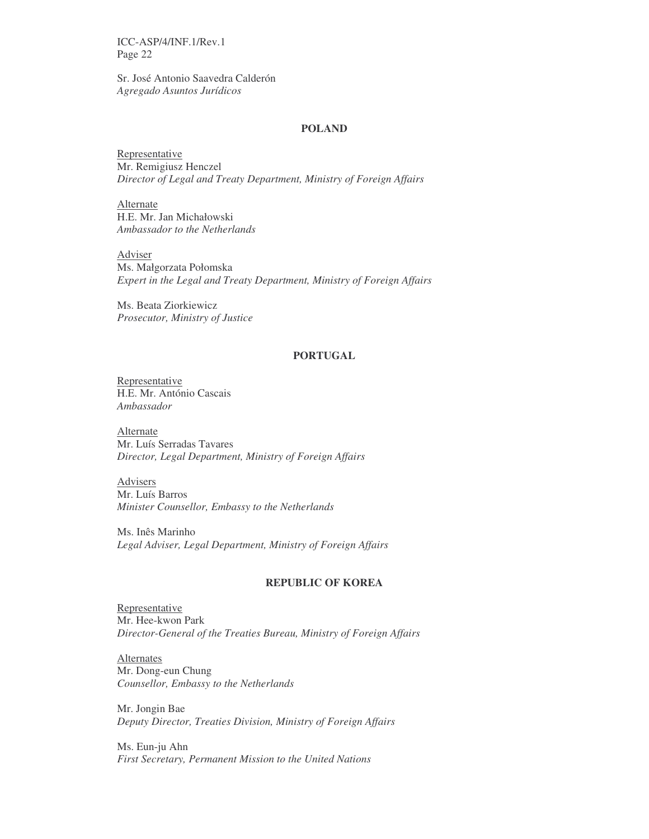Sr. José Antonio Saavedra Calderón *Agregado Asuntos Jurídicos*

#### **POLAND**

Representative Mr. Remigiusz Henczel *Director of Legal and Treaty Department, Ministry of Foreign Affairs*

Alternate H.E. Mr. Jan Michałowski *Ambassador to the Netherlands*

Adviser Ms. Małgorzata Połomska *Expert in the Legal and Treaty Department, Ministry of Foreign Affairs*

Ms. Beata Ziorkiewicz *Prosecutor, Ministry of Justice*

### **PORTUGAL**

Representative H.E. Mr. António Cascais *Ambassador*

Alternate Mr. Luís Serradas Tavares *Director, Legal Department, Ministry of Foreign Affairs*

Advisers Mr. Luís Barros *Minister Counsellor, Embassy to the Netherlands*

Ms. Inês Marinho *Legal Adviser, Legal Department, Ministry of Foreign Affairs*

### **REPUBLIC OF KOREA**

Representative Mr. Hee-kwon Park *Director-General of the Treaties Bureau, Ministry of Foreign Affairs*

**Alternates** Mr. Dong-eun Chung *Counsellor, Embassy to the Netherlands*

Mr. Jongin Bae *Deputy Director, Treaties Division, Ministry of Foreign Affairs*

Ms. Eun-ju Ahn *First Secretary, Permanent Mission to the United Nations*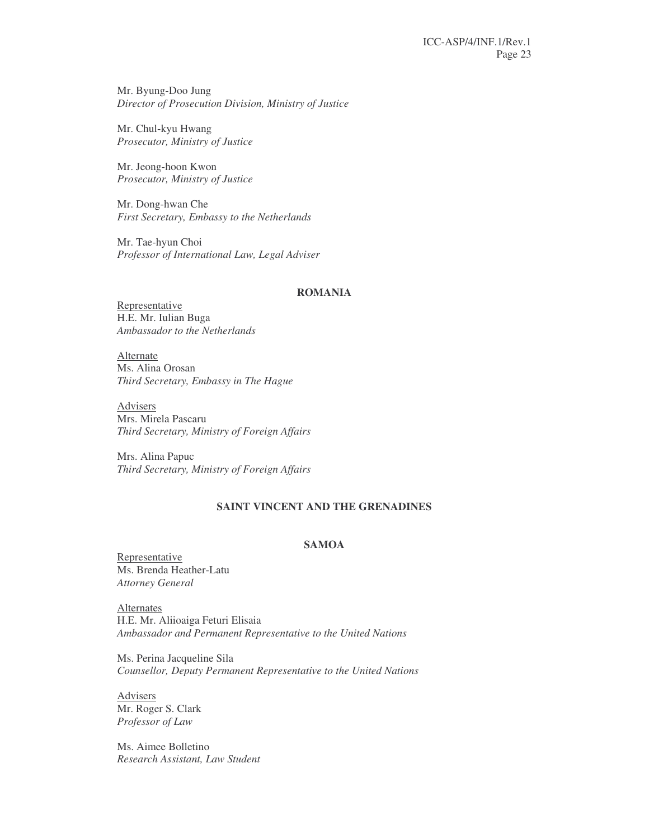Mr. Byung-Doo Jung *Director of Prosecution Division, Ministry of Justice*

Mr. Chul-kyu Hwang *Prosecutor, Ministry of Justice*

Mr. Jeong-hoon Kwon *Prosecutor, Ministry of Justice*

Mr. Dong-hwan Che *First Secretary, Embassy to the Netherlands*

Mr. Tae-hyun Choi *Professor of International Law, Legal Adviser*

### **ROMANIA**

Representative H.E. Mr. Iulian Buga *Ambassador to the Netherlands*

Alternate Ms. Alina Orosan *Third Secretary, Embassy in The Hague*

Advisers Mrs. Mirela Pascaru *Third Secretary, Ministry of Foreign Affairs*

Mrs. Alina Papuc *Third Secretary, Ministry of Foreign Affairs*

### **SAINT VINCENT AND THE GRENADINES**

### **SAMOA**

Representative Ms. Brenda Heather-Latu *Attorney General*

**Alternates** H.E. Mr. Aliioaiga Feturi Elisaia *Ambassador and Permanent Representative to the United Nations*

Ms. Perina Jacqueline Sila *Counsellor, Deputy Permanent Representative to the United Nations*

Advisers Mr. Roger S. Clark *Professor of Law*

Ms. Aimee Bolletino *Research Assistant, Law Student*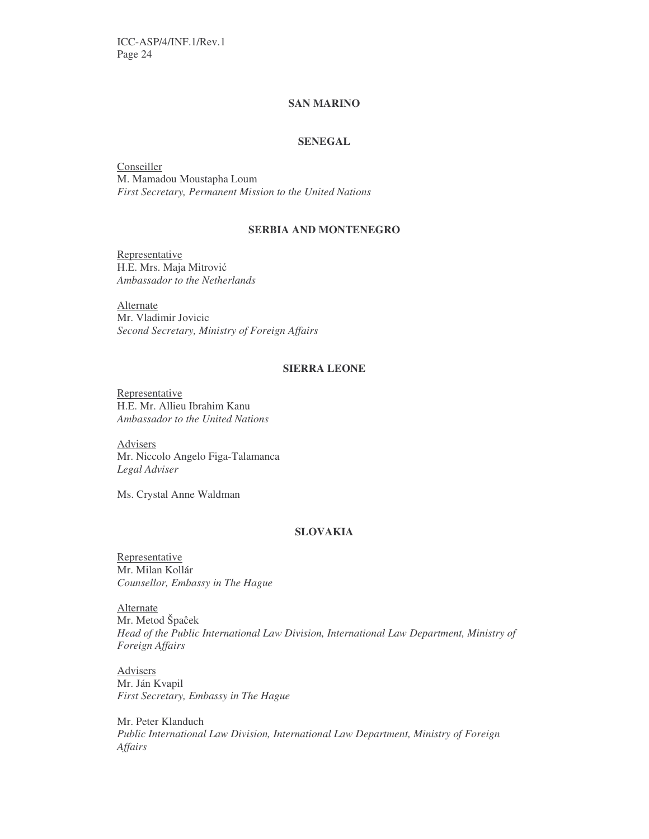### **SAN MARINO**

### **SENEGAL**

**Conseiller** M. Mamadou Moustapha Loum *First Secretary, Permanent Mission to the United Nations*

### **SERBIA AND MONTENEGRO**

Representative H.E. Mrs. Maja Mitrović *Ambassador to the Netherlands*

Alternate Mr. Vladimir Jovicic *Second Secretary, Ministry of Foreign Affairs*

### **SIERRA LEONE**

Representative H.E. Mr. Allieu Ibrahim Kanu *Ambassador to the United Nations*

Advisers Mr. Niccolo Angelo Figa-Talamanca *Legal Adviser*

Ms. Crystal Anne Waldman

### **SLOVAKIA**

Representative Mr. Milan Kollár *Counsellor, Embassy in The Hague*

**Alternate** Mr. Metod Špaĉek *Head of the Public International Law Division, International Law Department, Ministry of Foreign Affairs*

Advisers Mr. Ján Kvapil *First Secretary, Embassy in The Hague*

Mr. Peter Klanduch *Public International Law Division, International Law Department, Ministry of Foreign Affairs*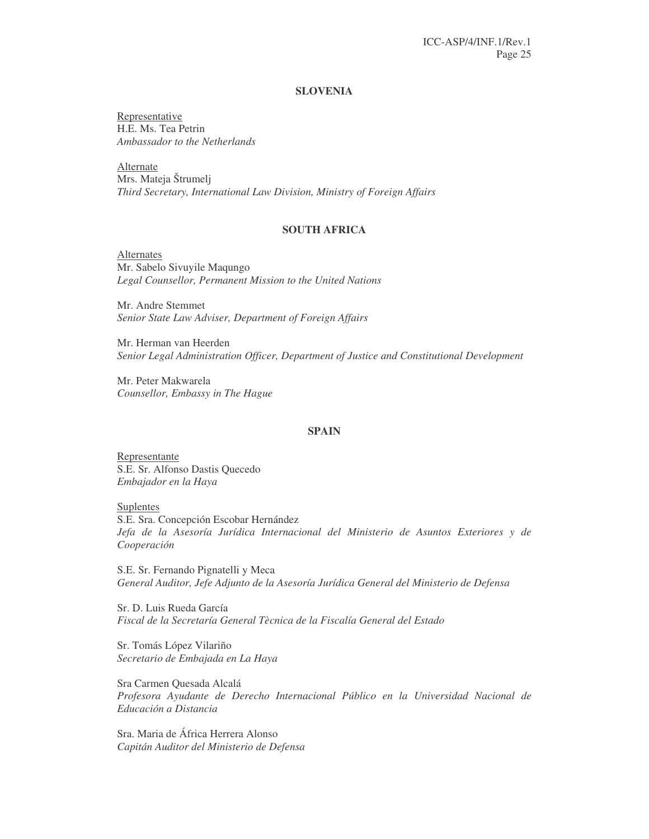#### **SLOVENIA**

Representative H.E. Ms. Tea Petrin *Ambassador to the Netherlands*

Alternate Mrs. Mateja Štrumelj *Third Secretary, International Law Division, Ministry of Foreign Affairs*

### **SOUTH AFRICA**

Alternates Mr. Sabelo Sivuyile Maqungo *Legal Counsellor, Permanent Mission to the United Nations*

Mr. Andre Stemmet *Senior State Law Adviser, Department of Foreign Affairs*

Mr. Herman van Heerden *Senior Legal Administration Officer, Department of Justice and Constitutional Development*

Mr. Peter Makwarela *Counsellor, Embassy in The Hague*

### **SPAIN**

Representante S.E. Sr. Alfonso Dastis Quecedo *Embajador en la Haya*

**Suplentes** S.E. Sra. Concepción Escobar Hernández *Jefa de la Asesoría Jurídica Internacional del Ministerio de Asuntos Exteriores y de Cooperación*

S.E. Sr. Fernando Pignatelli y Meca *General Auditor, Jefe Adjunto de la Asesoría Jurídica General del Ministerio de Defensa*

Sr. D. Luis Rueda García *Fiscal de la Secretaría General Tècnica de la Fiscalía General del Estado*

Sr. Tomás López Vilariño *Secretario de Embajada en La Haya*

Sra Carmen Quesada Alcalá *Profesora Ayudante de Derecho Internacional Público en la Universidad Nacional de Educación a Distancia*

Sra. Maria de África Herrera Alonso *Capitán Auditor del Ministerio de Defensa*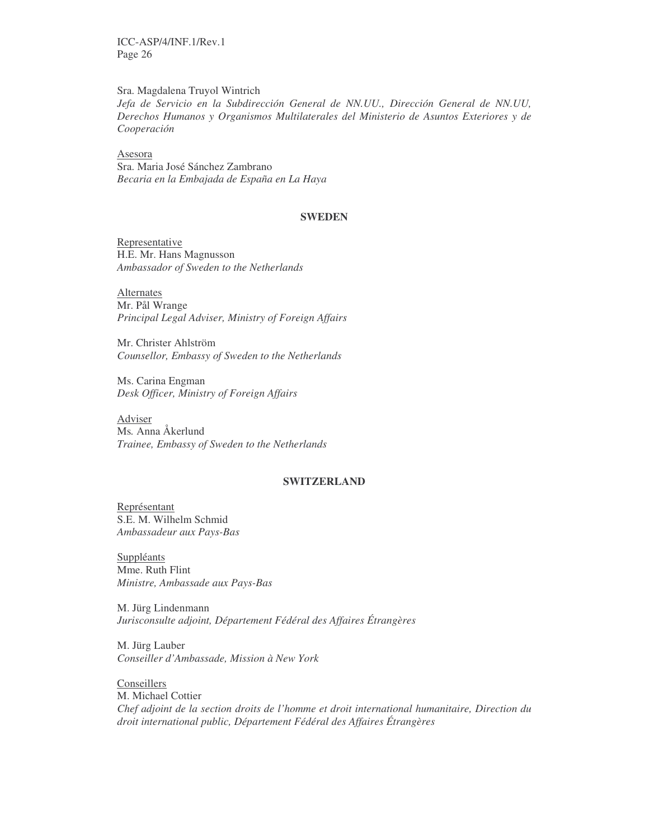Sra. Magdalena Truyol Wintrich

*Jefa de Servicio en la Subdirección General de NN.UU., Dirección General de NN.UU, Derechos Humanos y Organismos Multilaterales del Ministerio de Asuntos Exteriores y de Cooperación*

Asesora Sra. Maria José Sánchez Zambrano *Becaria en la Embajada de España en La Haya*

### **SWEDEN**

Representative H.E. Mr. Hans Magnusson *Ambassador of Sweden to the Netherlands*

Alternates Mr. Pål Wrange *Principal Legal Adviser, Ministry of Foreign Affairs*

Mr. Christer Ahlström *Counsellor, Embassy of Sweden to the Netherlands*

Ms. Carina Engman *Desk Officer, Ministry of Foreign Affairs*

Adviser Ms*.* Anna Åkerlund *Trainee, Embassy of Sweden to the Netherlands*

### **SWITZERLAND**

Représentant S.E. M. Wilhelm Schmid *Ambassadeur aux Pays-Bas*

**Suppléants** Mme. Ruth Flint *Ministre, Ambassade aux Pays-Bas*

M. Jürg Lindenmann *Jurisconsulte adjoint, Département Fédéral des Affaires Étrangères*

M. Jürg Lauber *Conseiller d'Ambassade, Mission à New York*

Conseillers M. Michael Cottier *Chef adjoint de la section droits de l'homme et droit international humanitaire, Direction du droit international public, Département Fédéral des Affaires Étrangères*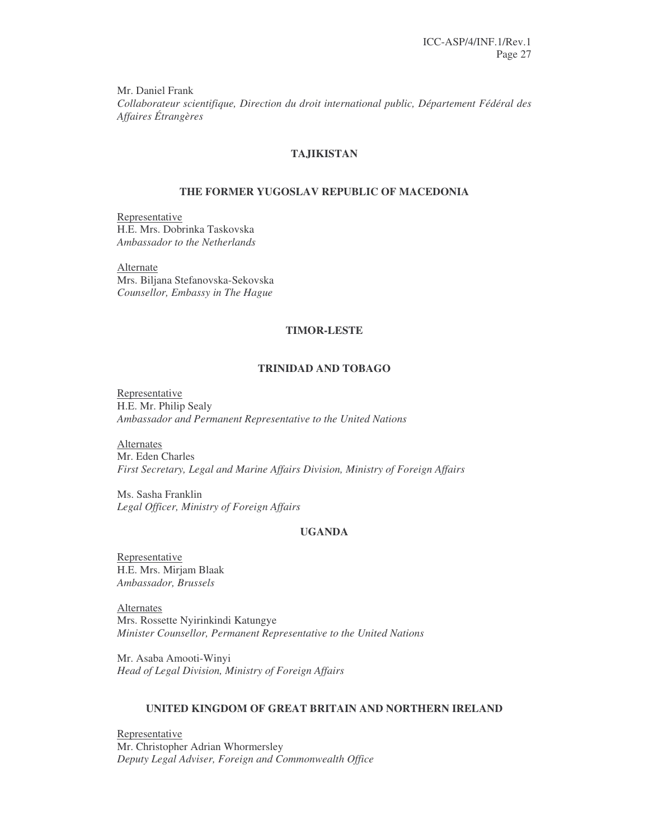Mr. Daniel Frank *Collaborateur scientifique, Direction du droit international public, Département Fédéral des Affaires Étrangères*

### **TAJIKISTAN**

### **THE FORMER YUGOSLAV REPUBLIC OF MACEDONIA**

Representative H.E. Mrs. Dobrinka Taskovska *Ambassador to the Netherlands*

Alternate Mrs. Biljana Stefanovska-Sekovska *Counsellor, Embassy in The Hague*

#### **TIMOR-LESTE**

### **TRINIDAD AND TOBAGO**

Representative H.E. Mr. Philip Sealy *Ambassador and Permanent Representative to the United Nations*

Alternates Mr. Eden Charles *First Secretary, Legal and Marine Affairs Division, Ministry of Foreign Affairs*

Ms. Sasha Franklin *Legal Officer, Ministry of Foreign Affairs*

### **UGANDA**

Representative H.E. Mrs. Mirjam Blaak *Ambassador, Brussels*

Alternates Mrs. Rossette Nyirinkindi Katungye *Minister Counsellor, Permanent Representative to the United Nations*

Mr. Asaba Amooti-Winyi *Head of Legal Division, Ministry of Foreign Affairs*

### **UNITED KINGDOM OF GREAT BRITAIN AND NORTHERN IRELAND**

Representative Mr. Christopher Adrian Whormersley *Deputy Legal Adviser, Foreign and Commonwealth Office*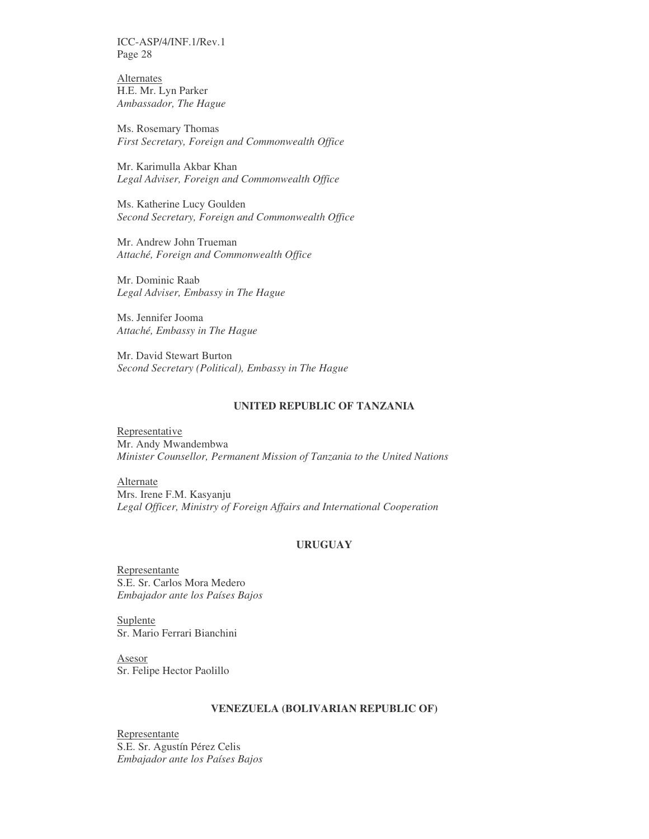**Alternates** H.E. Mr. Lyn Parker *Ambassador, The Hague*

Ms. Rosemary Thomas *First Secretary, Foreign and Commonwealth Office*

Mr. Karimulla Akbar Khan *Legal Adviser, Foreign and Commonwealth Office*

Ms. Katherine Lucy Goulden *Second Secretary, Foreign and Commonwealth Office*

Mr. Andrew John Trueman *Attaché, Foreign and Commonwealth Office*

Mr. Dominic Raab *Legal Adviser, Embassy in The Hague*

Ms. Jennifer Jooma *Attaché, Embassy in The Hague*

Mr. David Stewart Burton *Second Secretary (Political), Embassy in The Hague*

#### **UNITED REPUBLIC OF TANZANIA**

**Representative** Mr. Andy Mwandembwa *Minister Counsellor, Permanent Mission of Tanzania to the United Nations*

Alternate Mrs. Irene F.M. Kasyanju *Legal Officer, Ministry of Foreign Affairs and International Cooperation*

### **URUGUAY**

Representante S.E. Sr. Carlos Mora Medero *Embajador ante los Países Bajos*

Suplente Sr. Mario Ferrari Bianchini

Asesor Sr. Felipe Hector Paolillo

#### **VENEZUELA (BOLIVARIAN REPUBLIC OF)**

Representante S.E. Sr. Agustín Pérez Celis *Embajador ante los Países Bajos*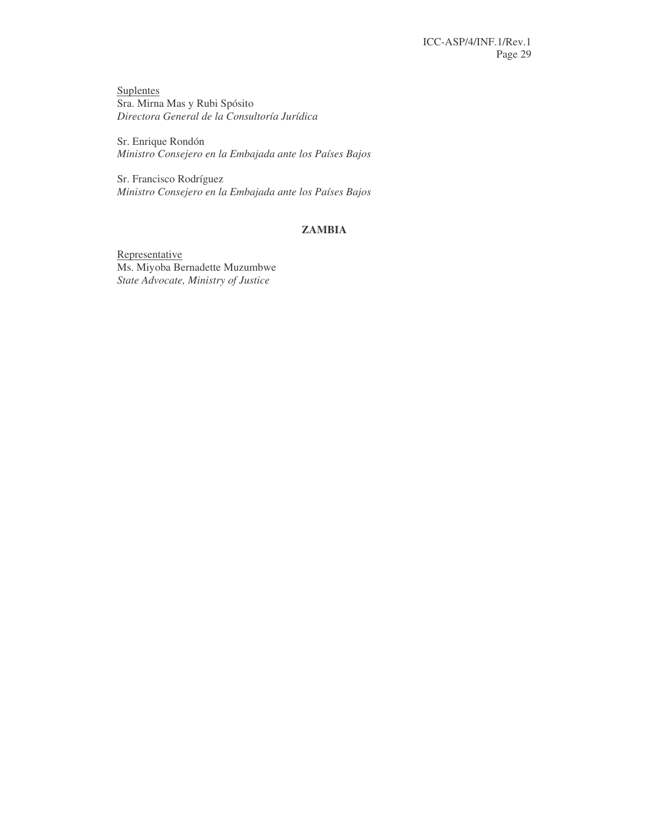**Suplentes** Sra. Mirna Mas y Rubi Spósito *Directora General de la Consultoría Jurídica*

Sr. Enrique Rondón *Ministro Consejero en la Embajada ante los Países Bajos*

Sr. Francisco Rodríguez *Ministro Consejero en la Embajada ante los Países Bajos*

## **ZAMBIA**

Representative Ms. Miyoba Bernadette Muzumbwe *State Advocate, Ministry of Justice*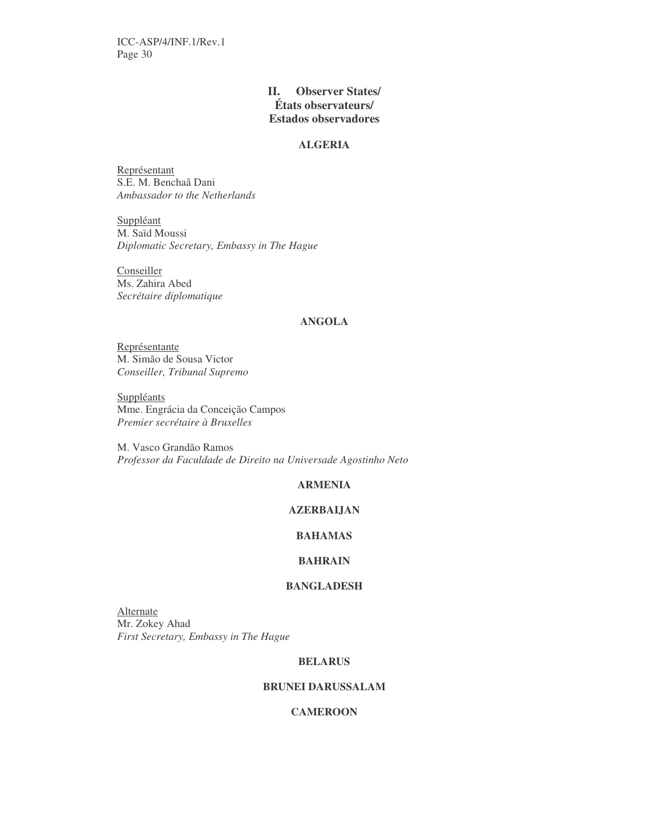### **II. Observer States/ États observateurs/ Estados observadores**

#### **ALGERIA**

Représentant S.E. M. Benchaâ Dani *Ambassador to the Netherlands*

Suppléant M. Saïd Moussi *Diplomatic Secretary, Embassy in The Hague*

Conseiller Ms. Zahira Abed *Secrétaire diplomatique*

### **ANGOLA**

Représentante M. Simão de Sousa Victor *Conseiller, Tribunal Supremo*

**Suppléants** Mme. Engrácia da Conceição Campos *Premier secrétaire à Bruxelles*

M. Vasco Grandão Ramos *Professor da Faculdade de Direito na Universade Agostinho Neto*

### **ARMENIA**

### **AZERBAIJAN**

### **BAHAMAS**

### **BAHRAIN**

### **BANGLADESH**

**Alternate** Mr. Zokey Ahad *First Secretary, Embassy in The Hague*

#### **BELARUS**

### **BRUNEI DARUSSALAM**

### **CAMEROON**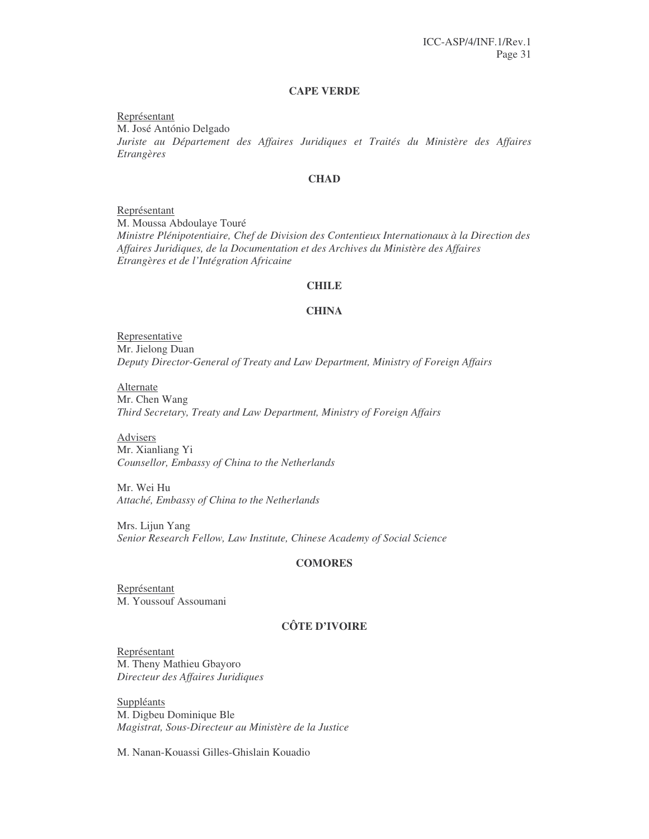#### **CAPE VERDE**

Représentant M. José António Delgado *Juriste au Département des Affaires Juridiques et Traités du Ministère des Affaires Etrangères*

#### **CHAD**

Représentant M. Moussa Abdoulaye Touré *Ministre Plénipotentiaire, Chef de Division des Contentieux Internationaux à la Direction des Affaires Juridiques, de la Documentation et des Archives du Ministère des Affaires Etrangères et de l'Intégration Africaine*

### **CHILE**

#### **CHINA**

Representative Mr. Jielong Duan *Deputy Director-General of Treaty and Law Department, Ministry of Foreign Affairs*

**Alternate** Mr. Chen Wang *Third Secretary, Treaty and Law Department, Ministry of Foreign Affairs*

**Advisers** Mr. Xianliang Yi *Counsellor, Embassy of China to the Netherlands*

Mr. Wei Hu *Attaché, Embassy of China to the Netherlands*

Mrs. Lijun Yang *Senior Research Fellow, Law Institute, Chinese Academy of Social Science*

#### **COMORES**

Représentant M. Youssouf Assoumani

### **CÔTE D'IVOIRE**

Représentant M. Theny Mathieu Gbayoro *Directeur des Affaires Juridiques*

Suppléants M. Digbeu Dominique Ble *Magistrat, Sous-Directeur au Ministère de la Justice*

M. Nanan-Kouassi Gilles-Ghislain Kouadio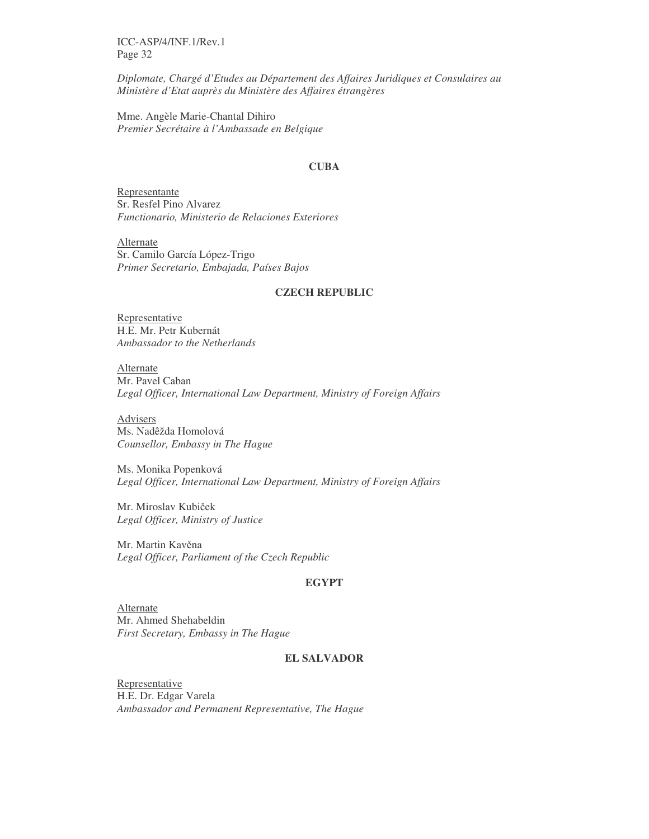*Diplomate, Chargé d'Etudes au Département des Affaires Juridiques et Consulaires au Ministère d'Etat auprès du Ministère des Affaires étrangères*

Mme. Angèle Marie-Chantal Dihiro *Premier Secrétaire à l'Ambassade en Belgique*

#### **CUBA**

Representante Sr. Resfel Pino Alvarez *Functionario, Ministerio de Relaciones Exteriores*

Alternate Sr. Camilo García López-Trigo *Primer Secretario, Embajada, Países Bajos*

### **CZECH REPUBLIC**

Representative H.E. Mr. Petr Kubernát *Ambassador to the Netherlands*

Alternate Mr. Pavel Caban *Legal Officer, International Law Department, Ministry of Foreign Affairs*

Advisers Ms. Nadêžda Homolová *Counsellor, Embassy in The Hague*

Ms. Monika Popenková *Legal Officer, International Law Department, Ministry of Foreign Affairs*

Mr. Miroslav Kubiček *Legal Officer, Ministry of Justice*

Mr. Martin Kavěna *Legal Officer, Parliament of the Czech Republic*

### **EGYPT**

Alternate Mr. Ahmed Shehabeldin *First Secretary, Embassy in The Hague*

### **EL SALVADOR**

Representative H.E. Dr. Edgar Varela *Ambassador and Permanent Representative, The Hague*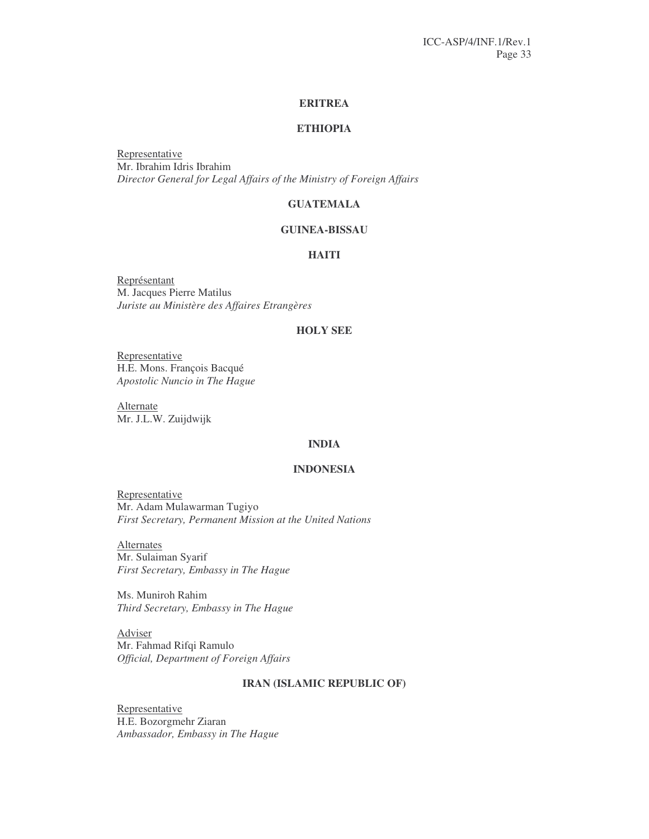#### **ERITREA**

### **ETHIOPIA**

Representative Mr. Ibrahim Idris Ibrahim *Director General for Legal Affairs of the Ministry of Foreign Affairs*

### **GUATEMALA**

### **GUINEA-BISSAU**

### **HAITI**

Représentant M. Jacques Pierre Matilus *Juriste au Ministère des Affaires Etrangères*

### **HOLY SEE**

Representative H.E. Mons. François Bacqué *Apostolic Nuncio in The Hague*

**Alternate** Mr. J.L.W. Zuijdwijk

### **INDIA**

#### **INDONESIA**

Representative Mr. Adam Mulawarman Tugiyo *First Secretary, Permanent Mission at the United Nations*

**Alternates** Mr. Sulaiman Syarif *First Secretary, Embassy in The Hague*

Ms. Muniroh Rahim *Third Secretary, Embassy in The Hague*

Adviser Mr. Fahmad Rifqi Ramulo *Official, Department of Foreign Affairs*

### **IRAN (ISLAMIC REPUBLIC OF)**

**Representative** H.E. Bozorgmehr Ziaran *Ambassador, Embassy in The Hague*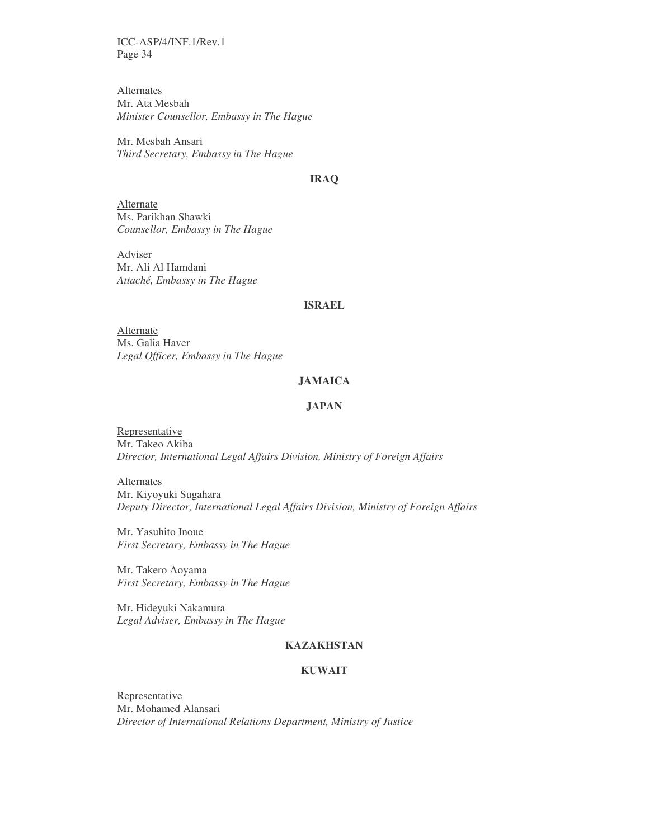Alternates Mr. Ata Mesbah *Minister Counsellor, Embassy in The Hague*

Mr. Mesbah Ansari *Third Secretary, Embassy in The Hague*

#### **IRAQ**

Alternate Ms. Parikhan Shawki *Counsellor, Embassy in The Hague*

Adviser Mr. Ali Al Hamdani *Attaché, Embassy in The Hague*

#### **ISRAEL**

Alternate Ms. Galia Haver *Legal Officer, Embassy in The Hague*

### **JAMAICA**

### **JAPAN**

**Representative** Mr. Takeo Akiba *Director, International Legal Affairs Division, Ministry of Foreign Affairs*

**Alternates** Mr. Kiyoyuki Sugahara *Deputy Director, International Legal Affairs Division, Ministry of Foreign Affairs*

Mr. Yasuhito Inoue *First Secretary, Embassy in The Hague*

Mr. Takero Aoyama *First Secretary, Embassy in The Hague*

Mr. Hideyuki Nakamura *Legal Adviser, Embassy in The Hague*

### **KAZAKHSTAN**

### **KUWAIT**

**Representative** Mr. Mohamed Alansari *Director of International Relations Department, Ministry of Justice*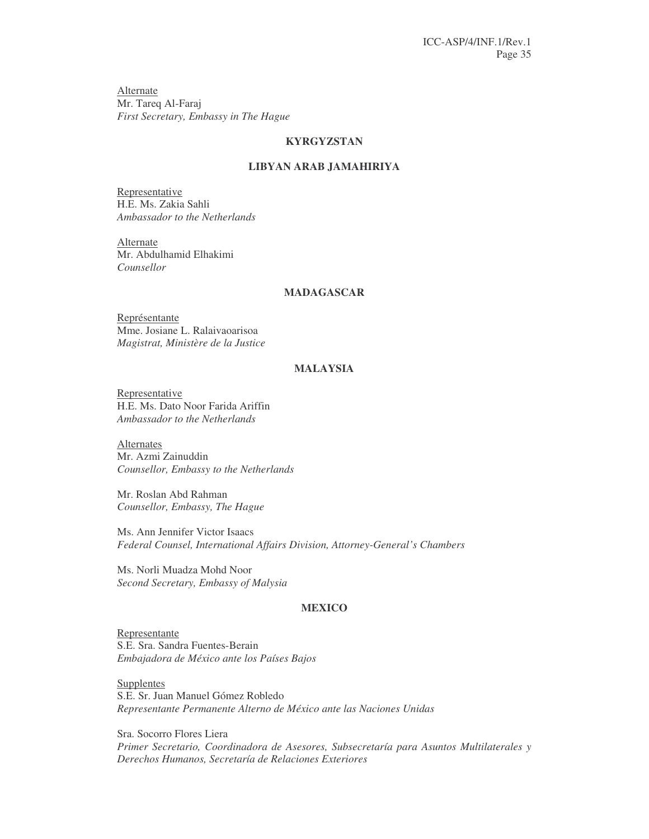**Alternate** Mr. Tareq Al-Faraj *First Secretary, Embassy in The Hague*

### **KYRGYZSTAN**

### **LIBYAN ARAB JAMAHIRIYA**

Representative H.E. Ms. Zakia Sahli *Ambassador to the Netherlands*

Alternate Mr. Abdulhamid Elhakimi *Counsellor*

### **MADAGASCAR**

Représentante Mme. Josiane L. Ralaivaoarisoa *Magistrat, Ministère de la Justice*

### **MALAYSIA**

Representative H.E. Ms. Dato Noor Farida Ariffin *Ambassador to the Netherlands*

Alternates Mr. Azmi Zainuddin *Counsellor, Embassy to the Netherlands*

Mr. Roslan Abd Rahman *Counsellor, Embassy, The Hague*

Ms. Ann Jennifer Victor Isaacs *Federal Counsel, International Affairs Division, Attorney-General's Chambers*

Ms. Norli Muadza Mohd Noor *Second Secretary, Embassy of Malysia*

#### **MEXICO**

Representante S.E. Sra. Sandra Fuentes-Berain *Embajadora de México ante los Países Bajos*

Supplentes S.E. Sr. Juan Manuel Gómez Robledo *Representante Permanente Alterno de México ante las Naciones Unidas*

Sra. Socorro Flores Liera *Primer Secretario, Coordinadora de Asesores, Subsecretaría para Asuntos Multilaterales y Derechos Humanos, Secretaría de Relaciones Exteriores*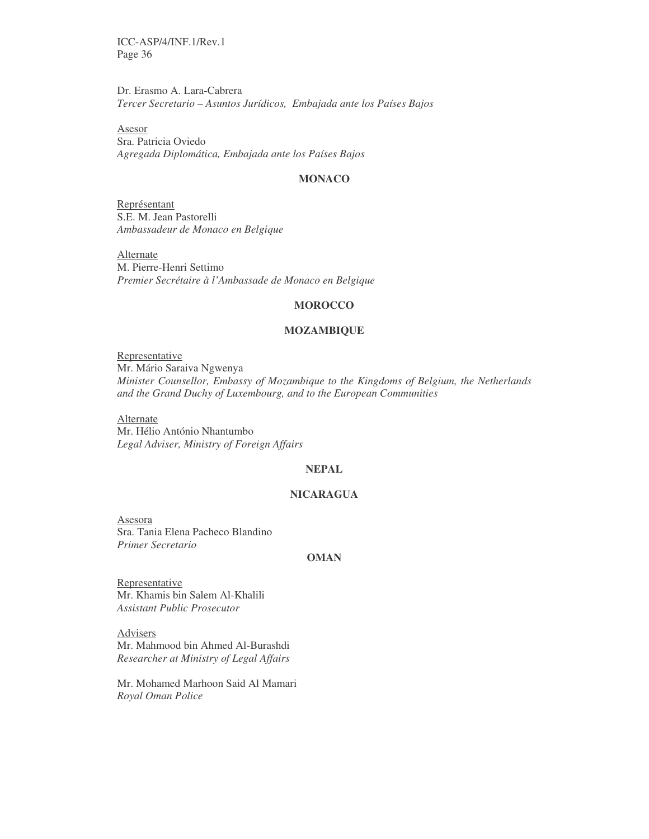Dr. Erasmo A. Lara-Cabrera *Tercer Secretario – Asuntos Jurídicos, Embajada ante los Países Bajos*

Asesor Sra. Patricia Oviedo *Agregada Diplomática, Embajada ante los Países Bajos*

#### **MONACO**

Représentant S.E. M. Jean Pastorelli *Ambassadeur de Monaco en Belgique*

**Alternate** M. Pierre-Henri Settimo *Premier Secrétaire à l'Ambassade de Monaco en Belgique*

#### **MOROCCO**

#### **MOZAMBIQUE**

Representative Mr. Mário Saraiva Ngwenya *Minister Counsellor, Embassy of Mozambique to the Kingdoms of Belgium, the Netherlands and the Grand Duchy of Luxembourg, and to the European Communities*

**Alternate** Mr. Hélio António Nhantumbo *Legal Adviser, Ministry of Foreign Affairs*

### **NEPAL**

#### **NICARAGUA**

Asesora Sra. Tania Elena Pacheco Blandino *Primer Secretario*

#### **OMAN**

**Representative** Mr. Khamis bin Salem Al-Khalili *Assistant Public Prosecutor*

Advisers Mr. Mahmood bin Ahmed Al-Burashdi *Researcher at Ministry of Legal Affairs*

Mr. Mohamed Marhoon Said Al Mamari *Royal Oman Police*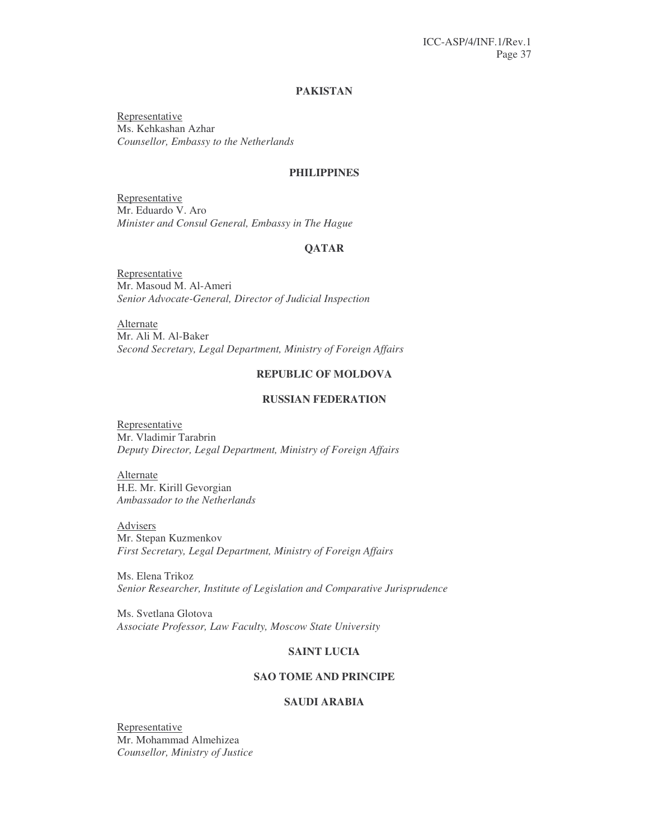### **PAKISTAN**

Representative Ms. Kehkashan Azhar *Counsellor, Embassy to the Netherlands*

### **PHILIPPINES**

Representative Mr. Eduardo V. Aro *Minister and Consul General, Embassy in The Hague*

### **QATAR**

Representative Mr. Masoud M. Al-Ameri *Senior Advocate-General, Director of Judicial Inspection*

Alternate Mr. Ali M. Al-Baker *Second Secretary, Legal Department, Ministry of Foreign Affairs*

#### **REPUBLIC OF MOLDOVA**

#### **RUSSIAN FEDERATION**

Representative Mr. Vladimir Tarabrin *Deputy Director, Legal Department, Ministry of Foreign Affairs*

Alternate H.E. Mr. Kirill Gevorgian *Ambassador to the Netherlands*

Advisers Mr. Stepan Kuzmenkov *First Secretary, Legal Department, Ministry of Foreign Affairs*

Ms. Elena Trikoz *Senior Researcher, Institute of Legislation and Comparative Jurisprudence*

Ms. Svetlana Glotova *Associate Professor, Law Faculty, Moscow State University*

### **SAINT LUCIA**

### **SAO TOME AND PRINCIPE**

### **SAUDI ARABIA**

Representative Mr. Mohammad Almehizea *Counsellor, Ministry of Justice*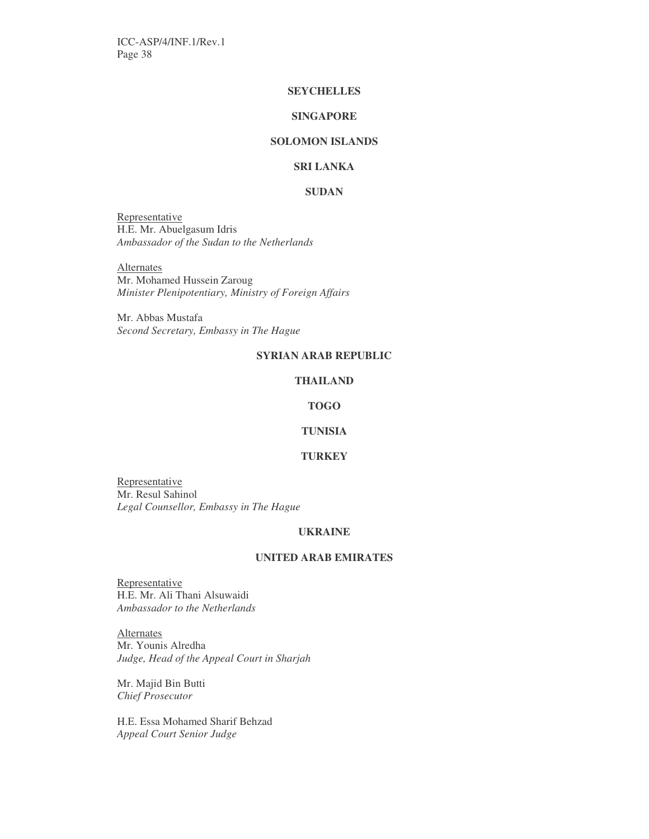### **SEYCHELLES**

### **SINGAPORE**

### **SOLOMON ISLANDS**

### **SRI LANKA**

### **SUDAN**

Representative H.E. Mr. Abuelgasum Idris *Ambassador of the Sudan to the Netherlands*

**Alternates** 

Mr. Mohamed Hussein Zaroug *Minister Plenipotentiary, Ministry of Foreign Affairs*

Mr. Abbas Mustafa *Second Secretary, Embassy in The Hague*

### **SYRIAN ARAB REPUBLIC**

#### **THAILAND**

#### **TOGO**

### **TUNISIA**

#### **TURKEY**

**Representative** Mr. Resul Sahinol *Legal Counsellor, Embassy in The Hague*

#### **UKRAINE**

#### **UNITED ARAB EMIRATES**

**Representative** H.E. Mr. Ali Thani Alsuwaidi *Ambassador to the Netherlands*

**Alternates** Mr. Younis Alredha *Judge, Head of the Appeal Court in Sharjah*

Mr. Majid Bin Butti *Chief Prosecutor*

H.E. Essa Mohamed Sharif Behzad *Appeal Court Senior Judge*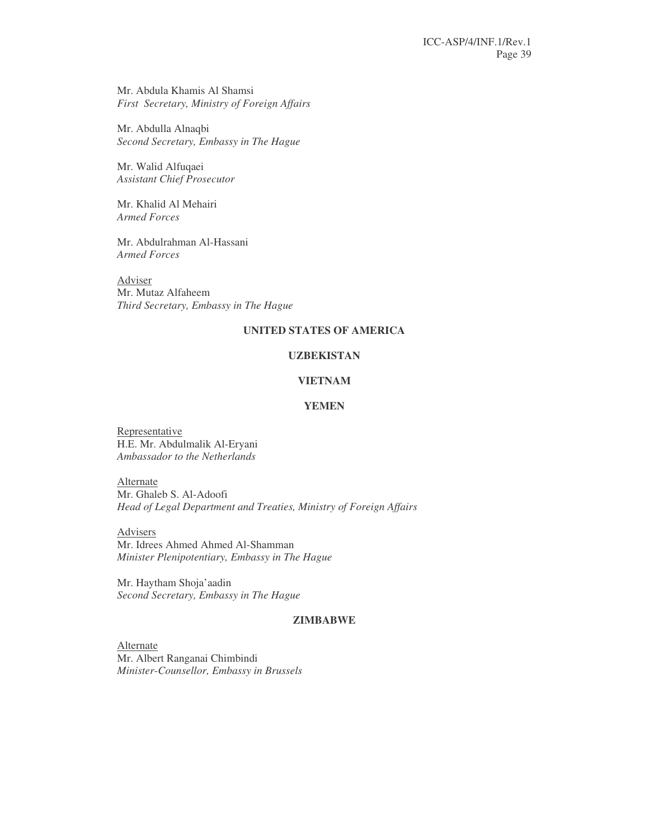Mr. Abdula Khamis Al Shamsi *First Secretary, Ministry of Foreign Affairs*

Mr. Abdulla Alnaqbi *Second Secretary, Embassy in The Hague*

Mr. Walid Alfuqaei *Assistant Chief Prosecutor*

Mr. Khalid Al Mehairi *Armed Forces*

Mr. Abdulrahman Al-Hassani *Armed Forces*

Adviser Mr. Mutaz Alfaheem *Third Secretary, Embassy in The Hague*

### **UNITED STATES OF AMERICA**

### **UZBEKISTAN**

#### **VIETNAM**

### **YEMEN**

**Representative** H.E. Mr. Abdulmalik Al-Eryani *Ambassador to the Netherlands*

Alternate Mr. Ghaleb S. Al-Adoofi *Head of Legal Department and Treaties, Ministry of Foreign Affairs*

Advisers Mr. Idrees Ahmed Ahmed Al-Shamman *Minister Plenipotentiary, Embassy in The Hague*

Mr. Haytham Shoja'aadin *Second Secretary, Embassy in The Hague*

#### **ZIMBABWE**

Alternate Mr. Albert Ranganai Chimbindi *Minister-Counsellor, Embassy in Brussels*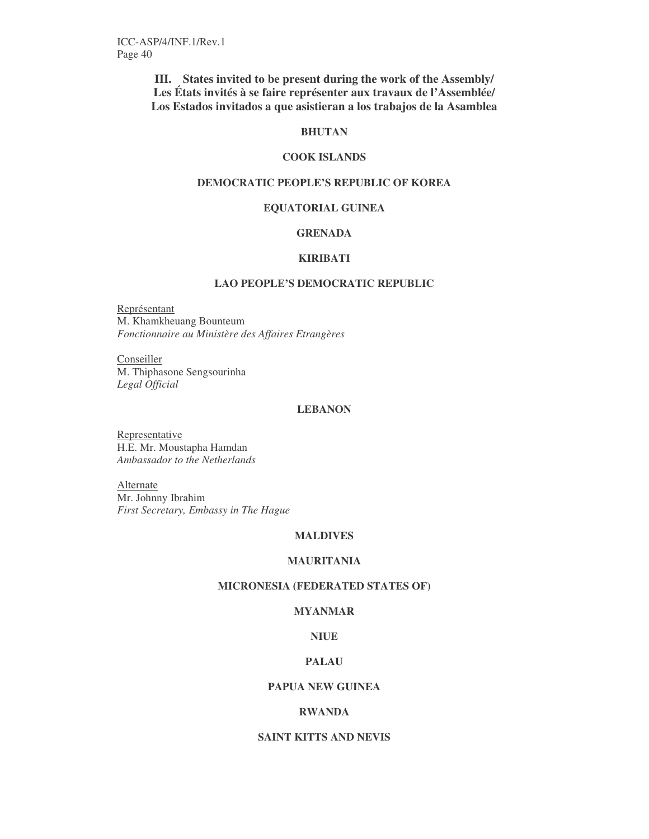**III. States invited to be present during the work of the Assembly/ Les États invités à se faire représenter aux travaux de l'Assemblée/ Los Estados invitados a que asistieran a los trabajos de la Asamblea**

#### **BHUTAN**

### **COOK ISLANDS**

### **DEMOCRATIC PEOPLE'S REPUBLIC OF KOREA**

#### **EQUATORIAL GUINEA**

### **GRENADA**

#### **KIRIBATI**

### **LAO PEOPLE'S DEMOCRATIC REPUBLIC**

Représentant M. Khamkheuang Bounteum *Fonctionnaire au Ministère des Affaires Etrangères*

Conseiller M. Thiphasone Sengsourinha *Legal Official*

### **LEBANON**

**Representative** H.E. Mr. Moustapha Hamdan *Ambassador to the Netherlands*

Alternate Mr. Johnny Ibrahim *First Secretary, Embassy in The Hague*

### **MALDIVES**

### **MAURITANIA**

### **MICRONESIA (FEDERATED STATES OF)**

### **MYANMAR**

### **NIUE**

### **PALAU**

### **PAPUA NEW GUINEA**

### **RWANDA**

### **SAINT KITTS AND NEVIS**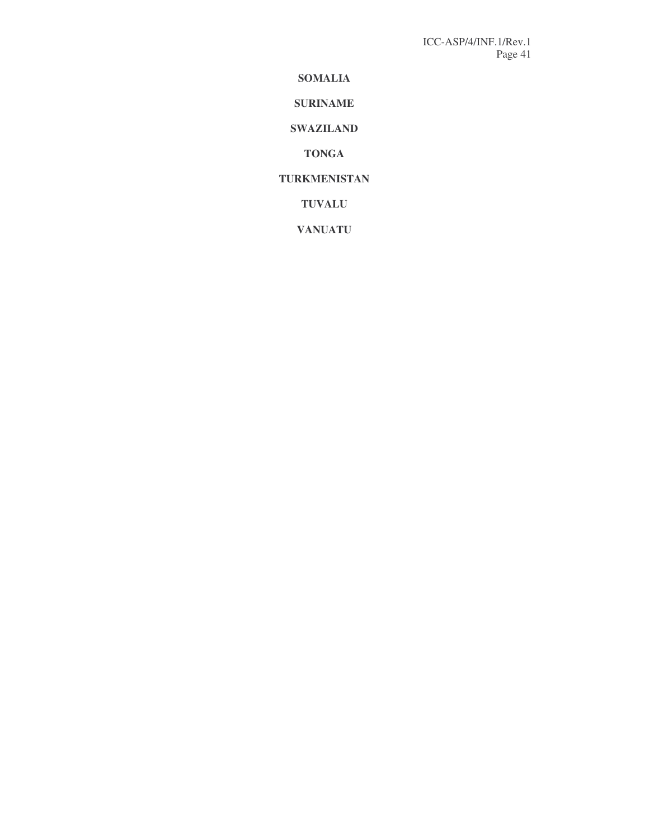**SOMALIA**

**SURINAME**

**SWAZILAND**

**TONGA**

**TURKMENISTAN**

**TUVALU**

**VANUATU**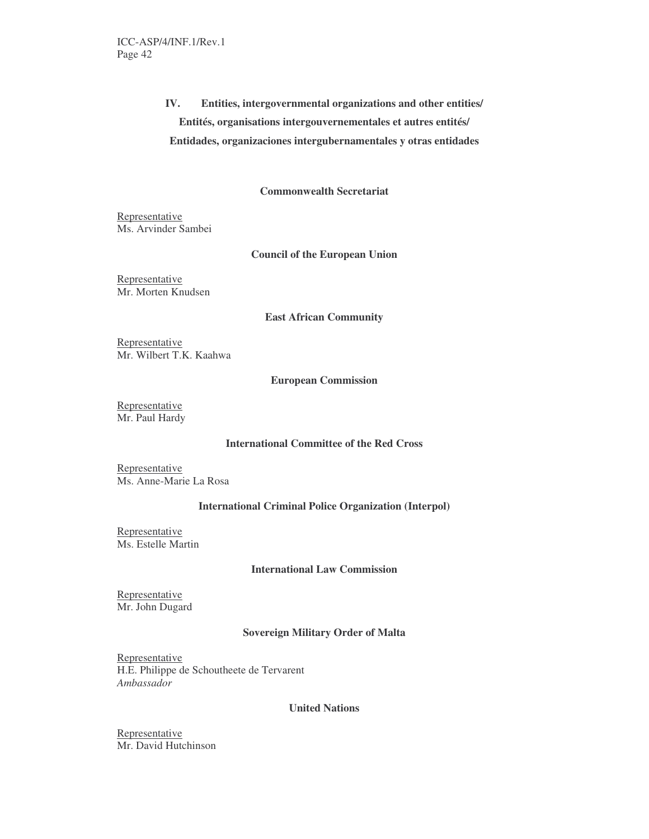# **IV. Entities, intergovernmental organizations and other entities/ Entités, organisations intergouvernementales et autres entités/ Entidades, organizaciones intergubernamentales y otras entidades**

### **Commonwealth Secretariat**

Representative Ms. Arvinder Sambei

#### **Council of the European Union**

Representative Mr. Morten Knudsen

#### **East African Community**

Representative Mr. Wilbert T.K. Kaahwa

#### **European Commission**

Representative Mr. Paul Hardy

### **International Committee of the Red Cross**

Representative Ms. Anne-Marie La Rosa

### **International Criminal Police Organization (Interpol)**

Representative Ms. Estelle Martin

### **International Law Commission**

Representative Mr. John Dugard

### **Sovereign Military Order of Malta**

Representative H.E. Philippe de Schoutheete de Tervarent *Ambassador*

#### **United Nations**

Representative Mr. David Hutchinson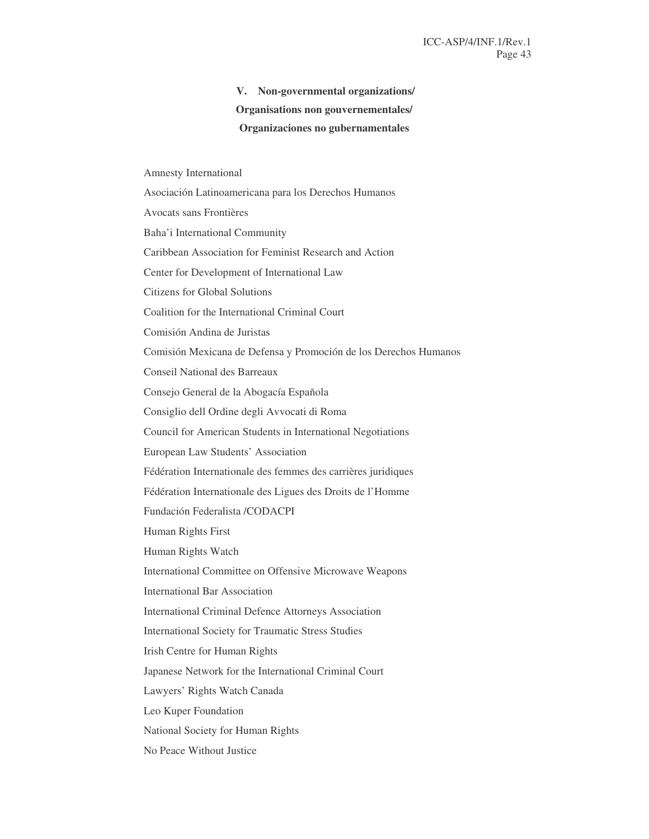# **V. Non-governmental organizations/ Organisations non gouvernementales/ Organizaciones no gubernamentales**

Amnesty International Asociación Latinoamericana para los Derechos Humanos Avocats sans Frontières Baha'i International Community Caribbean Association for Feminist Research and Action Center for Development of International Law Citizens for Global Solutions Coalition for the International Criminal Court Comisión Andina de Juristas Comisión Mexicana de Defensa y Promoción de los Derechos Humanos Conseil National des Barreaux Consejo General de la Abogacía Española Consiglio dell Ordine degli Avvocati di Roma Council for American Students in International Negotiations European Law Students' Association Fédération Internationale des femmes des carrières juridiques Fédération Internationale des Ligues des Droits de l'Homme Fundación Federalista /CODACPI Human Rights First Human Rights Watch International Committee on Offensive Microwave Weapons International Bar Association International Criminal Defence Attorneys Association International Society for Traumatic Stress Studies Irish Centre for Human Rights Japanese Network for the International Criminal Court Lawyers' Rights Watch Canada Leo Kuper Foundation National Society for Human Rights No Peace Without Justice